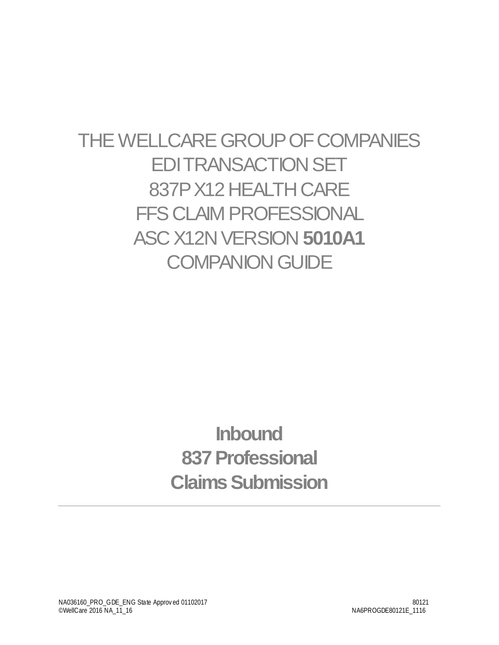# THE WELLCARE GROUP OF COMPANIES EDI TRANSACTION SET 837PX12HEALTH CARE FFS CLAIM PROFESSIONAL **ASC X12N VERSION 5010A1 COMPANION GUIDE**

# **Inbound 837 Professional Claims Submission**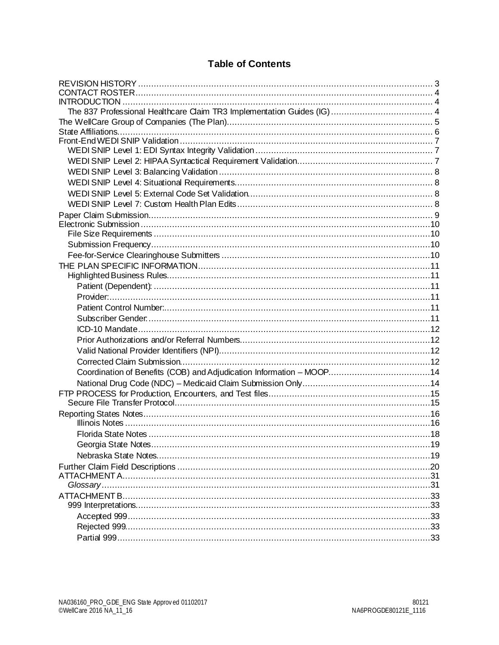#### **Table of Contents**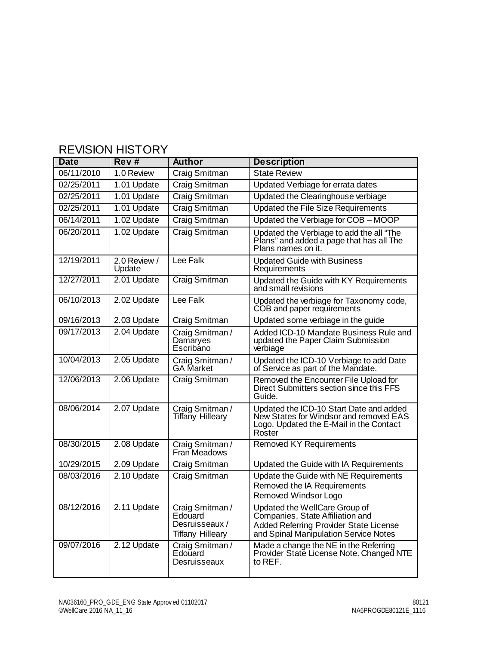<span id="page-2-0"></span>

| <b>Date</b> | Rev#                   | <b>Author</b>                                                           | <b>Description</b>                                                                                                                                   |
|-------------|------------------------|-------------------------------------------------------------------------|------------------------------------------------------------------------------------------------------------------------------------------------------|
| 06/11/2010  | 1.0 Review             | Craig Smitman                                                           | <b>State Review</b>                                                                                                                                  |
| 02/25/2011  | 1.01 Update            | Craig Smitman                                                           | Updated Verbiage for errata dates                                                                                                                    |
| 02/25/2011  | 1.01 Update            | Craig Smitman                                                           | Updated the Clearinghouse verbiage                                                                                                                   |
| 02/25/2011  | 1.01 Update            | Craig Smitman                                                           | <b>Updated the File Size Requirements</b>                                                                                                            |
| 06/14/2011  | 1.02 Update            | Craig Smitman                                                           | Updated the Verbiage for COB - MOOP                                                                                                                  |
| 06/20/2011  | 1.02 Update            | Craig Smitman                                                           | Updated the Verbiage to add the all "The<br>Plans" and added a page that has all The<br>Plans names on it.                                           |
| 12/19/2011  | 2.0 Review /<br>Update | Lee Falk                                                                | <b>Updated Guide with Business</b><br>Requirements                                                                                                   |
| 12/27/2011  | 2.01 Update            | Craig Smitman                                                           | Updated the Guide with KY Requirements<br>and small revisions                                                                                        |
| 06/10/2013  | 2.02 Update            | Lee Falk                                                                | Updated the verbiage for Taxonomy code,<br>COB and paper requirements                                                                                |
| 09/16/2013  | 2.03 Update            | Craig Smitman                                                           | Updated some verbiage in the guide                                                                                                                   |
| 09/17/2013  | 2.04 Update            | Craig Smitman /<br>Damaryes<br>Escribano                                | Added ICD-10 Mandate Business Rule and<br>updated the Paper Claim Submission<br>verbiage                                                             |
| 10/04/2013  | 2.05 Update            | Craig Smitman /<br><b>GA</b> Market                                     | Updated the ICD-10 Verbiage to add Date<br>of Service as part of the Mandate.                                                                        |
| 12/06/2013  | 2.06 Update            | <b>Craig Smitman</b>                                                    | Removed the Encounter File Upload for<br>Direct Submitters section since this FFS<br>Guide.                                                          |
| 08/06/2014  | 2.07 Update            | Craig Smitman /<br><b>Tiffany Hilleary</b>                              | Updated the ICD-10 Start Date and added<br>New States for Windsor and removed EAS<br>Logo. Updated the E-Mail in the Contact<br>Roster               |
| 08/30/2015  | 2.08 Update            | Craig Smitman /<br>Fran Meadows                                         | <b>Removed KY Requirements</b>                                                                                                                       |
| 10/29/2015  | 2.09 Update            | Craig Smitman                                                           | Updated the Guide with IA Requirements                                                                                                               |
| 08/03/2016  | 2.10 Update            | Craig Smitman                                                           | Update the Guide with NE Requirements<br>Removed the IA Requirements<br>Removed Windsor Logo                                                         |
| 08/12/2016  | 2.11 Update            | Craig Smitman /<br>Edouard<br>Desruisseaux /<br><b>Tiffany Hilleary</b> | Updated the WellCare Group of<br>Companies, State Affiliation and<br>Added Referring Provider State License<br>and Spinal Manipulation Service Notes |
| 09/07/2016  | 2.12 Update            | Craig Smitman /<br>Edouard<br>Desruisseaux                              | Made a change the NE in the Referring<br>Provider State License Note. Changed NTE<br>to REF.                                                         |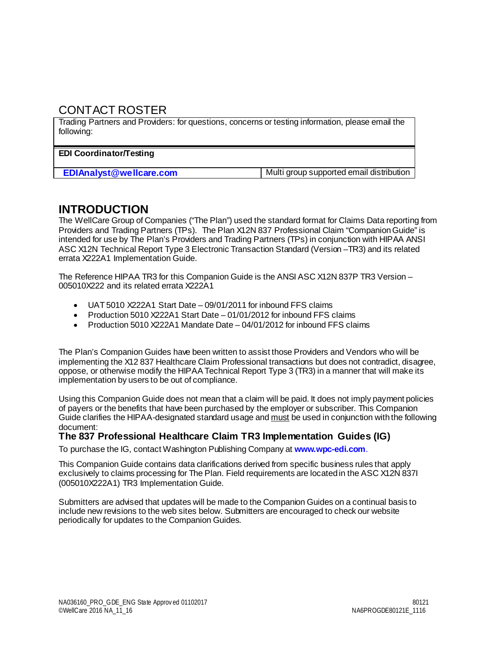## <span id="page-3-0"></span>CONTACT ROSTER

Trading Partners and Providers: for questions, concerns or testing information, please email the following:

#### **EDI Coordinator/Testing**

**EDIAnalyst @wellcare.com** Multi group supported email distribution

### <span id="page-3-1"></span>**INTRODUCTION**

The WellCare Group of Companies ("The Plan") used the standard format for Claims Data reporting from Providers and Trading Partners (TPs). The Plan X12N 837 Professional Claim "Companion Guide" is intended for use by The Plan's Providers and Trading Partners (TPs) in conjunction with HIPAA ANSI ASC X12N Technical Report Type 3 Electronic Transaction Standard (Version –TR3) and its related errata X222A1 Implementation Guide.

The Reference HIPAA TR3 for this Companion Guide is the ANSI ASC X12N 837P TR3 Version – 005010X222 and its related errata X222A1

- UAT 5010 X222A1 Start Date 09/01/2011 for inbound FFS claims
- Production 5010 X222A1 Start Date 01/01/2012 for inbound FFS claims
- Production 5010 X222A1 Mandate Date 04/01/2012 for inbound FFS claims

The Plan's Companion Guides have been written to assist those Providers and Vendors who will be implementing the X12 837 Healthcare Claim Professional transactions but does not contradict, disagree, oppose, or otherwise modify the HIPAA Technical Report Type 3 (TR3) in a manner that will make its implementation by users to be out of compliance.

Using this Companion Guide does not mean that a claim will be paid. It does not imply payment policies of payers or the benefits that have been purchased by the employer or subscriber. This Companion Guide clarifies the HIPAA-designated standard usage and must be used in conjunction with the following document:

#### <span id="page-3-2"></span>**The 837 Professional Healthcare Claim TR3 Implementation Guides (IG)**

To purchase the IG, contact Washington Publishing Company at **www.wpc-edi.com**.

This Companion Guide contains data clarifications derived from specific business rules that apply exclusively to claims processing for The Plan. Field requirements are located in the ASC X12N 837I (005010X222A1) TR3 Implementation Guide.

Submitters are advised that updates will be made to the Companion Guides on a continual basis to include new revisions to the web sites below. Submitters are encouraged to check our website periodically for updates to the Companion Guides.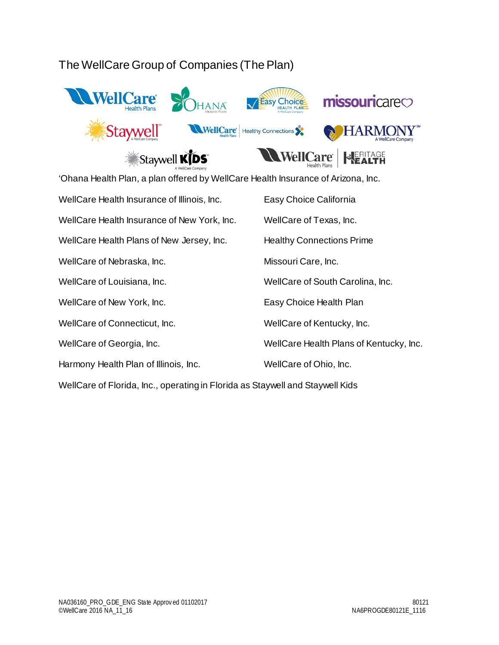## <span id="page-4-0"></span>The WellCare Group of Companies (The Plan)



'Ohana Health Plan, a plan offered by WellCare Health Insurance of Arizona, Inc. WellCare Health Insurance of Illinois, Inc. Easy Choice California WellCare Health Insurance of New York, Inc. WellCare of Texas, Inc. WellCare Health Plans of New Jersey, Inc. Healthy Connections Prime WellCare of Nebraska, Inc. The Missouri Care, Inc. WellCare of Louisiana, Inc. WellCare of South Carolina, Inc. WellCare of New York, Inc. The State of New York, Inc. The State Easy Choice Health Plan WellCare of Connecticut, Inc. The MellCare of Kentucky, Inc. WellCare of Georgia, Inc. The MellCare Health Plans of Kentucky, Inc. Harmony Health Plan of Illinois, Inc. WellCare of Ohio, Inc.

WellCare of Florida, Inc., operating in Florida as Staywell and Staywell Kids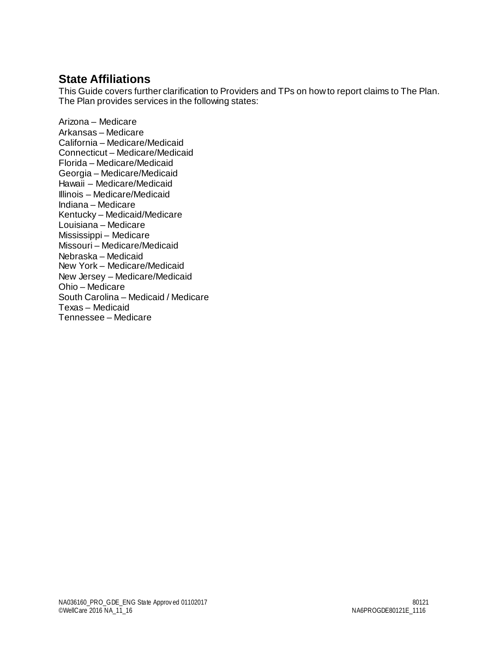## <span id="page-5-0"></span>**State Affiliations**

This Guide covers further clarification to Providers and TPs on how to report claims to The Plan. The Plan provides services in the following states:

Arizona – Medicare Arkansas – Medicare California – Medicare/Medicaid Connecticut – Medicare/Medicaid Florida – Medicare/Medicaid Georgia – Medicare/Medicaid Hawaii – Medicare/Medicaid Illinois – Medicare/Medicaid Indiana – Medicare Kentucky – Medicaid/Medicare Louisiana – Medicare Mississippi – Medicare Missouri – Medicare/Medicaid Nebraska – Medicaid New York – Medicare/Medicaid New Jersey – Medicare/Medicaid Ohio – Medicare South Carolina – Medicaid / Medicare Texas – Medicaid Tennessee – Medicare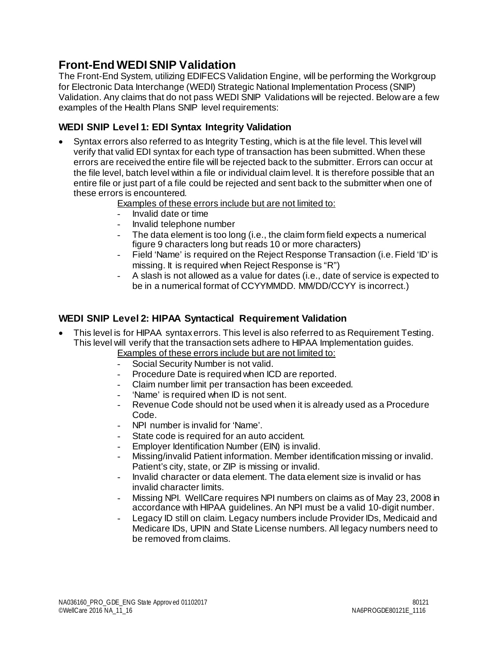## <span id="page-6-0"></span>**Front-End WEDI SNIP Validation**

The Front-End System, utilizing EDIFECS Validation Engine, will be performing the Workgroup for Electronic Data Interchange (WEDI) Strategic National Implementation Process (SNIP) Validation. Any claims that do not pass WEDI SNIP Validations will be rejected. Below are a few examples of the Health Plans SNIP level requirements:

#### <span id="page-6-1"></span>**WEDI SNIP Level 1: EDI Syntax Integrity Validation**

• Syntax errors also referred to as Integrity Testing, which is at the file level. This level will verify that valid EDI syntax for each type of transaction has been submitted. When these errors are received the entire file will be rejected back to the submitter. Errors can occur at the file level, batch level within a file or individual claim level. It is therefore possible that an entire file or just part of a file could be rejected and sent back to the submitter when one of these errors is encountered.

Examples of these errors include but are not limited to:

- Invalid date or time
- Invalid telephone number
- The data element is too long (i.e., the claim form field expects a numerical figure 9 characters long but reads 10 or more characters)
- Field 'Name' is required on the Reject Response Transaction (i.e. Field 'ID' is missing. It is required when Reject Response is "R")
- A slash is not allowed as a value for dates (i.e., date of service is expected to be in a numerical format of CCYYMMDD. MM/DD/CCYY is incorrect.)

#### <span id="page-6-2"></span>**WEDI SNIP Level 2: HIPAA Syntactical Requirement Validation**

• This level is for HIPAA syntax errors. This level is also referred to as Requirement Testing. This level will verify that the transaction sets adhere to HIPAA Implementation guides.

Examples of these errors include but are not limited to:

- Social Security Number is not valid.
- Procedure Date is required when ICD are reported.
- Claim number limit per transaction has been exceeded.
- 'Name' is required when ID is not sent.
- Revenue Code should not be used when it is already used as a Procedure Code.
- NPI number is invalid for 'Name'.
- State code is required for an auto accident.
- Employer Identification Number (EIN) is invalid.
- Missing/invalid Patient information. Member identification missing or invalid. Patient's city, state, or ZIP is missing or invalid.
- Invalid character or data element. The data element size is invalid or has invalid character limits.
- Missing NPI. WellCare requires NPI numbers on claims as of May 23, 2008 in accordance with HIPAA guidelines. An NPI must be a valid 10-digit number.
- Legacy ID still on claim. Legacy numbers include Provider IDs, Medicaid and Medicare IDs, UPIN and State License numbers. All legacy numbers need to be removed from claims.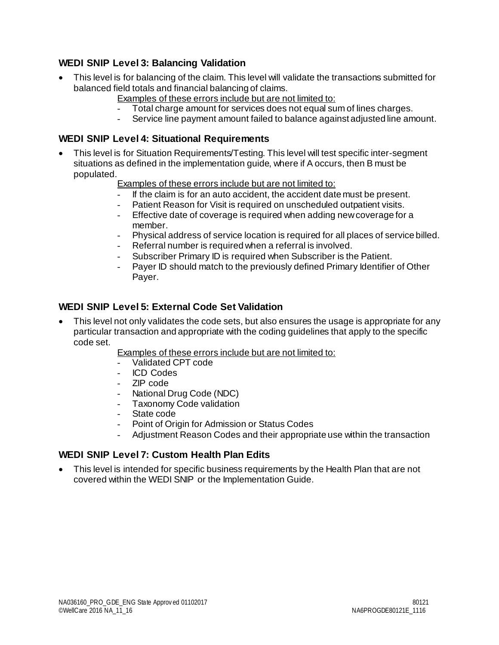#### <span id="page-7-0"></span>**WEDI SNIP Level 3: Balancing Validation**

- This level is for balancing of the claim. This level will validate the transactions submitted for balanced field totals and financial balancing of claims.
	- Examples of these errors include but are not limited to:
	- Total charge amount for services does not equal sum of lines charges.
	- Service line payment amount failed to balance against adjusted line amount.

#### <span id="page-7-1"></span>**WEDI SNIP Level 4: Situational Requirements**

- This level is for Situation Requirements/Testing. This level will test specific inter-segment situations as defined in the implementation guide, where if A occurs, then B must be populated.
	- Examples of these errors include but are not limited to:
	- If the claim is for an auto accident, the accident date must be present.
	- Patient Reason for Visit is required on unscheduled outpatient visits.
	- Effective date of coverage is required when adding new coverage for a member.
	- Physical address of service location is required for all places of service billed.
	- Referral number is required when a referral is involved.
	- Subscriber Primary ID is required when Subscriber is the Patient.
	- Payer ID should match to the previously defined Primary Identifier of Other Payer.

#### <span id="page-7-2"></span>**WEDI SNIP Level 5: External Code Set Validation**

• This level not only validates the code sets, but also ensures the usage is appropriate for any particular transaction and appropriate with the coding guidelines that apply to the specific code set.

Examples of these errors include but are not limited to:

- Validated CPT code
- ICD Codes
- ZIP code
- National Drug Code (NDC)
- Taxonomy Code validation
- State code
- Point of Origin for Admission or Status Codes
- Adjustment Reason Codes and their appropriate use within the transaction

#### <span id="page-7-3"></span>**WEDI SNIP Level 7: Custom Health Plan Edits**

• This level is intended for specific business requirements by the Health Plan that are not covered within the WEDI SNIP or the Implementation Guide.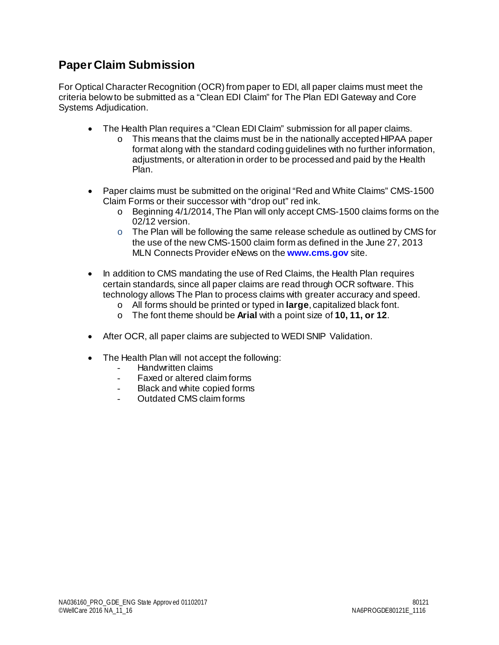## <span id="page-8-0"></span>**Paper Claim Submission**

For Optical Character Recognition (OCR) from paper to EDI, all paper claims must meet the criteria below to be submitted as a "Clean EDI Claim" for The Plan EDI Gateway and Core Systems Adjudication.

- The Health Plan requires a "Clean EDI Claim" submission for all paper claims.
	- o This means that the claims must be in the nationally accepted HIPAA paper format along with the standard coding guidelines with no further information, adjustments, or alteration in order to be processed and paid by the Health Plan.
- Paper claims must be submitted on the original "Red and White Claims" CMS-1500 Claim Forms or their successor with "drop out" red ink.
	- o Beginning 4/1/2014, The Plan will only accept CMS-1500 claims forms on the 02/12 version.
	- o The Plan will be following the same release schedule as outlined by CMS for the use of the new CMS-1500 claim form as defined in the June 27, 2013 MLN Connects Provider eNews on the **[www.cms.gov](http://www.cms.gov/)** site.
- In addition to CMS mandating the use of Red Claims, the Health Plan requires certain standards, since all paper claims are read through OCR software. This technology allows The Plan to process claims with greater accuracy and speed.
	- o All forms should be printed or typed in **large**, capitalized black font.
	- o The font theme should be **Arial** with a point size of **10, 11, or 12**.
- After OCR, all paper claims are subjected to WEDI SNIP Validation.
- The Health Plan will not accept the following:
	- Handwritten claims
	- Faxed or altered claim forms
	- Black and white copied forms
	- Outdated CMS claim forms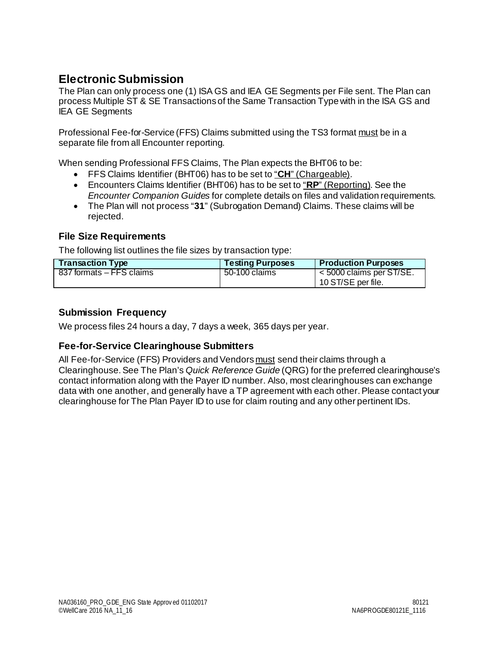## <span id="page-9-0"></span>**Electronic Submission**

The Plan can only process one (1) ISA GS and IEA GE Segments per File sent. The Plan can process Multiple ST & SE Transactions of the Same Transaction Type with in the ISA GS and IEA GE Segments

Professional Fee-for-Service (FFS) Claims submitted using the TS3 format must be in a separate file from all Encounter reporting.

When sending Professional FFS Claims, The Plan expects the BHT06 to be:

- FFS Claims Identifier (BHT06) has to be set to "**CH**" (Chargeable).
- Encounters Claims Identifier (BHT06) has to be set to "**RP**" (Reporting). See the *Encounter Companion Guides* for complete details on files and validation requirements.
- The Plan will not process "**31**" (Subrogation Demand) Claims. These claims will be rejected.

#### <span id="page-9-1"></span>**File Size Requirements**

The following list outlines the file sizes by transaction type:

| <b>Transaction Type</b>  | <b>Testing Purposes</b> | <b>Production Purposes</b>                       |
|--------------------------|-------------------------|--------------------------------------------------|
| 837 formats – FFS claims | 50-100 claims           | $<$ 5000 claims per ST/SE.<br>10 ST/SE per file. |

#### <span id="page-9-2"></span>**Submission Frequency**

<span id="page-9-3"></span>We process files 24 hours a day, 7 days a week, 365 days per year.

#### **Fee-for-Service Clearinghouse Submitters**

All Fee-for-Service (FFS) Providers and Vendors must send their claims through a Clearinghouse. See The Plan's *Quick Reference Guide* (QRG) for the preferred clearinghouse's contact information along with the Payer ID number. Also, most clearinghouses can exchange data with one another, and generally have a TP agreement with each other. Please contact your clearinghouse for The Plan Payer ID to use for claim routing and any other pertinent IDs.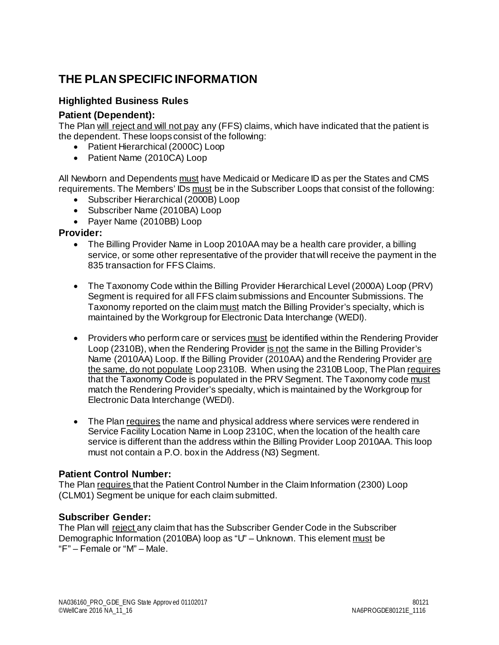## <span id="page-10-0"></span>**THE PLAN SPECIFIC INFORMATION**

#### <span id="page-10-1"></span>**Highlighted Business Rules**

#### <span id="page-10-2"></span>**Patient (Dependent):**

The Plan will reject and will not pay any (FFS) claims, which have indicated that the patient is the dependent. These loops consist of the following:

- Patient Hierarchical (2000C) Loop
- Patient Name (2010CA) Loop

All Newborn and Dependents must have Medicaid or Medicare ID as per the States and CMS requirements. The Members' IDs must be in the Subscriber Loops that consist of the following:

- Subscriber Hierarchical (2000B) Loop
- Subscriber Name (2010BA) Loop
- Payer Name (2010BB) Loop

#### <span id="page-10-3"></span>**Provider:**

- The Billing Provider Name in Loop 2010AA may be a health care provider, a billing service, or some other representative of the provider that will receive the payment in the 835 transaction for FFS Claims.
- The Taxonomy Code within the Billing Provider Hierarchical Level (2000A) Loop (PRV) Segment is required for all FFS claim submissions and Encounter Submissions. The Taxonomy reported on the claim must match the Billing Provider's specialty, which is maintained by the Workgroup for Electronic Data Interchange (WEDI).
- Providers who perform care or services must be identified within the Rendering Provider Loop (2310B), when the Rendering Provider is not the same in the Billing Provider's Name (2010AA) Loop. If the Billing Provider (2010AA) and the Rendering Provider are the same, do not populate Loop 2310B. When using the 2310B Loop, The Plan requires that the Taxonomy Code is populated in the PRV Segment. The Taxonomy code must match the Rendering Provider's specialty, which is maintained by the Workgroup for Electronic Data Interchange (WEDI).
- The Plan requires the name and physical address where services were rendered in Service Facility Location Name in Loop 2310C, when the location of the health care service is different than the address within the Billing Provider Loop 2010AA. This loop must not contain a P.O. box in the Address (N3) Segment.

#### <span id="page-10-4"></span>**Patient Control Number:**

The Plan requires that the Patient Control Number in the Claim Information (2300) Loop (CLM01) Segment be unique for each claim submitted.

#### <span id="page-10-5"></span>**Subscriber Gender:**

The Plan will reject any claim that has the Subscriber Gender Code in the Subscriber Demographic Information (2010BA) loop as "U" – Unknown. This element must be "F" – Female or "M" – Male.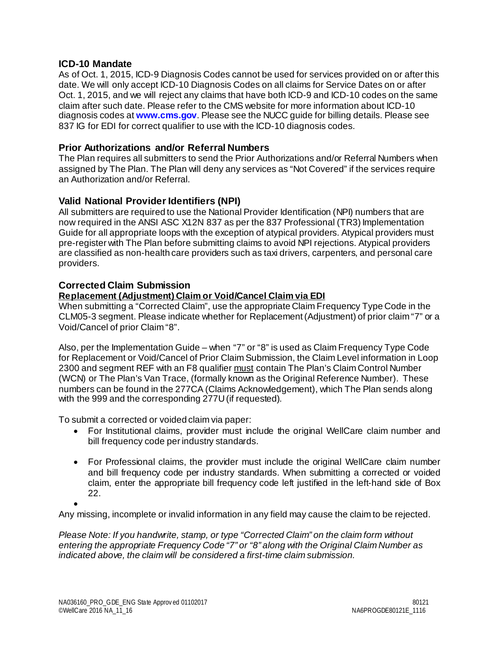#### <span id="page-11-0"></span>**ICD-10 Mandate**

As of Oct. 1, 2015, ICD-9 Diagnosis Codes cannot be used for services provided on or after this date. We will only accept ICD-10 Diagnosis Codes on all claims for Service Dates on or after Oct. 1, 2015, and we will reject any claims that have both ICD-9 and ICD-10 codes on the same claim after such date. Please refer to the CMS website for more information about ICD-10 diagnosis codes at **[www.cms.gov](http://www.cms.gov/)**. Please see the NUCC guide for billing details. Please see 837 IG for EDI for correct qualifier to use with the ICD-10 diagnosis codes.

#### <span id="page-11-1"></span>**Prior Authorizations and/or Referral Numbers**

The Plan requires all submitters to send the Prior Authorizations and/or Referral Numbers when assigned by The Plan. The Plan will deny any services as "Not Covered" if the services require an Authorization and/or Referral.

#### <span id="page-11-2"></span>**Valid National Provider Identifiers (NPI)**

All submitters are required to use the National Provider Identification (NPI) numbers that are now required in the ANSI ASC X12N 837 as per the 837 Professional (TR3) Implementation Guide for all appropriate loops with the exception of atypical providers. Atypical providers must pre-register with The Plan before submitting claims to avoid NPI rejections. Atypical providers are classified as non-health care providers such as taxi drivers, carpenters, and personal care providers.

#### <span id="page-11-3"></span>**Corrected Claim Submission**

#### **Replacement (Adjustment) Claim or Void/Cancel Claim via EDI**

When submitting a "Corrected Claim", use the appropriate Claim Frequency Type Code in the CLM05-3 segment. Please indicate whether for Replacement (Adjustment) of prior claim "7" or a Void/Cancel of prior Claim "8".

Also, per the Implementation Guide – when "7" or "8" is used as Claim Frequency Type Code for Replacement or Void/Cancel of Prior Claim Submission, the Claim Level information in Loop 2300 and segment REF with an F8 qualifier must contain The Plan's Claim Control Number (WCN) or The Plan's Van Trace, (formally known as the Original Reference Number). These numbers can be found in the 277CA (Claims Acknowledgement), which The Plan sends along with the 999 and the corresponding 277U (if requested).

To submit a corrected or voided claim via paper:

- For Institutional claims, provider must include the original WellCare claim number and bill frequency code per industry standards.
- For Professional claims, the provider must include the original WellCare claim number and bill frequency code per industry standards. When submitting a corrected or voided claim, enter the appropriate bill frequency code left justified in the left-hand side of Box 22.

•

Any missing, incomplete or invalid information in any field may cause the claim to be rejected.

*Please Note: If you handwrite, stamp, or type "Corrected Claim" on the claim form without entering the appropriate Frequency Code "7" or "8" along with the Original Claim Number as indicated above, the claim will be considered a first-time claim submission.*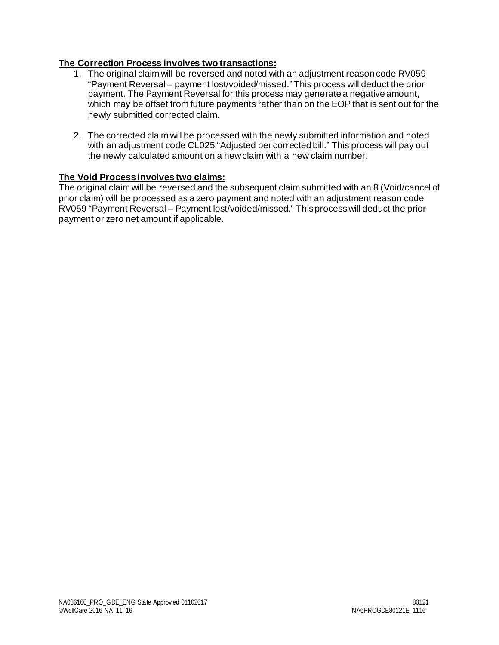#### **The Correction Process involves two transactions:**

- 1. The original claim will be reversed and noted with an adjustment reason code RV059 "Payment Reversal – payment lost/voided/missed." This process will deduct the prior payment. The Payment Reversal for this process may generate a negative amount, which may be offset from future payments rather than on the EOP that is sent out for the newly submitted corrected claim.
- 2. The corrected claim will be processed with the newly submitted information and noted with an adjustment code CL025 "Adjusted per corrected bill." This process will pay out the newly calculated amount on a new claim with a new claim number.

#### **The Void Process involves two claims:**

The original claim will be reversed and the subsequent claim submitted with an 8 (Void/cancel of prior claim) will be processed as a zero payment and noted with an adjustment reason code RV059 "Payment Reversal – Payment lost/voided/missed." This process will deduct the prior payment or zero net amount if applicable.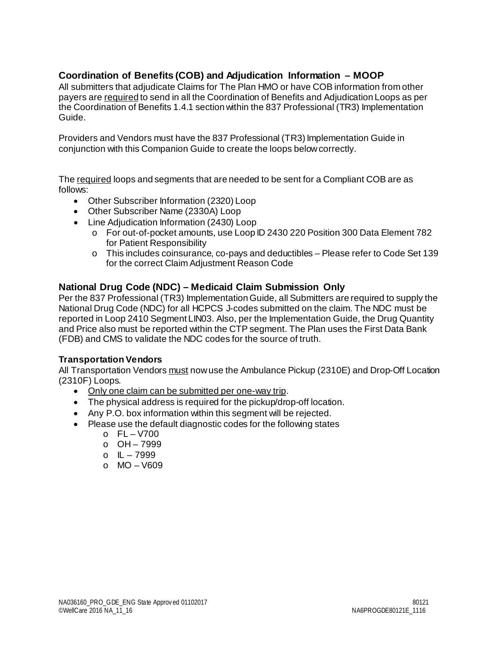#### <span id="page-13-0"></span>**Coordination of Benefits (COB) and Adjudication Information – MOOP**

All submitters that adjudicate Claims for The Plan HMO or have COB information from other payers are required to send in all the Coordination of Benefits and Adjudication Loops as per the Coordination of Benefits 1.4.1 section within the 837 Professional (TR3) Implementation Guide.

Providers and Vendors must have the 837 Professional (TR3) Implementation Guide in conjunction with this Companion Guide to create the loops below correctly.

The required loops and segments that are needed to be sent for a Compliant COB are as follows:

- Other Subscriber Information (2320) Loop
- Other Subscriber Name (2330A) Loop
- Line Adjudication Information (2430) Loop
	- o For out-of-pocket amounts, use Loop ID 2430 220 Position 300 Data Element 782 for Patient Responsibility
	- o This includes coinsurance, co-pays and deductibles Please refer to Code Set 139 for the correct Claim Adjustment Reason Code

#### <span id="page-13-1"></span>**National Drug Code (NDC) – Medicaid Claim Submission Only**

Per the 837 Professional (TR3) Implementation Guide, all Submitters are required to supply the National Drug Code (NDC) for all HCPCS J-codes submitted on the claim. The NDC must be reported in Loop 2410 Segment LIN03. Also, per the Implementation Guide, the Drug Quantity and Price also must be reported within the CTP segment. The Plan uses the First Data Bank (FDB) and CMS to validate the NDC codes for the source of truth.

#### **Transportation Vendors**

All Transportation Vendors must now use the Ambulance Pickup (2310E) and Drop-Off Location (2310F) Loops.

- Only one claim can be submitted per one-way trip.
- The physical address is required for the pickup/drop-off location.
- Any P.O. box information within this segment will be rejected.
- Please use the default diagnostic codes for the following states
	- $o$   $FL V700$
	- $O 7999$
	- $o$   $|L 7999$
	- o MO V609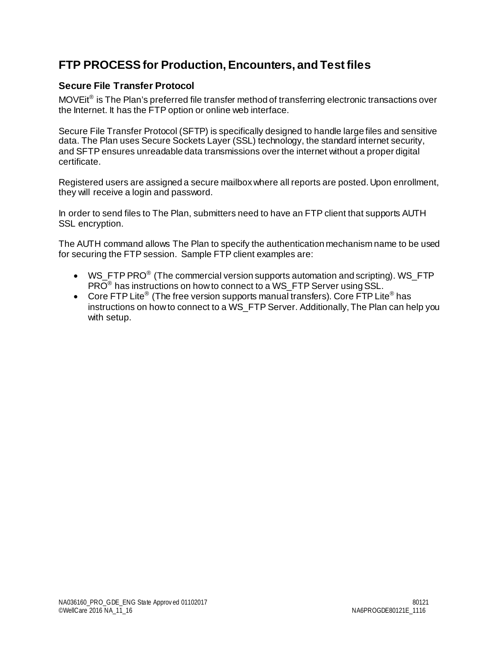## <span id="page-14-0"></span>**FTP PROCESS for Production, Encounters, and Test files**

#### <span id="page-14-1"></span>**Secure File Transfer Protocol**

MOVEit<sup>®</sup> is The Plan's preferred file transfer method of transferring electronic transactions over the Internet. It has the FTP option or online web interface.

Secure File Transfer Protocol (SFTP) is specifically designed to handle large files and sensitive data. The Plan uses Secure Sockets Layer (SSL) technology, the standard internet security, and SFTP ensures unreadable data transmissions over the internet without a proper digital certificate.

Registered users are assigned a secure mailbox where all reports are posted. Upon enrollment, they will receive a login and password.

In order to send files to The Plan, submitters need to have an FTP client that supports AUTH SSL encryption.

The AUTH command allows The Plan to specify the authentication mechanism name to be used for securing the FTP session. Sample FTP client examples are:

- WS\_FTP PRO<sup>®</sup> (The commercial version supports automation and scripting). WS\_FTP PRO® has instructions on how to connect to a WS\_FTP Server using SSL.
- Core FTP Lite<sup>®</sup> (The free version supports manual transfers). Core FTP Lite<sup>®</sup> has instructions on how to connect to a WS\_FTP Server. Additionally, The Plan can help you with setup.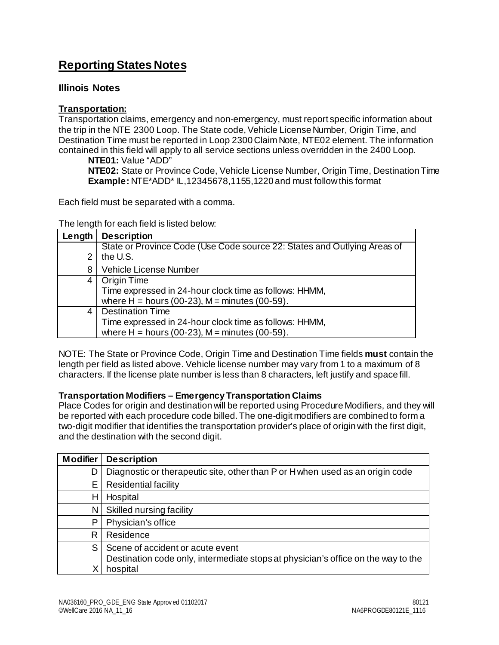## <span id="page-15-0"></span>**Reporting States Notes**

#### <span id="page-15-1"></span>**Illinois Notes**

#### **Transportation:**

Transportation claims, emergency and non-emergency, must report specific information about the trip in the NTE 2300 Loop. The State code, Vehicle License Number, Origin Time, and Destination Time must be reported in Loop 2300 Claim Note, NTE02 element. The information contained in this field will apply to all service sections unless overridden in the 2400 Loop.

**NTE01:** Value "ADD" **NTE02:** State or Province Code, Vehicle License Number, Origin Time, Destination Time **Example:** NTE\*ADD\* IL,12345678,1155,1220 and must follow this format

Each field must be separated with a comma.

#### The length for each field is listed below:

| Length | <b>Description</b>                                                       |
|--------|--------------------------------------------------------------------------|
|        | State or Province Code (Use Code source 22: States and Outlying Areas of |
| 2      | the U.S.                                                                 |
| 8      | <b>Vehicle License Number</b>                                            |
| 4      | Origin Time                                                              |
|        | Time expressed in 24-hour clock time as follows: HHMM,                   |
|        | where $H =$ hours (00-23), $M =$ minutes (00-59).                        |
| 4      | <b>Destination Time</b>                                                  |
|        | Time expressed in 24-hour clock time as follows: HHMM,                   |
|        | where $H =$ hours (00-23), $M =$ minutes (00-59).                        |

NOTE: The State or Province Code, Origin Time and Destination Time fields **must** contain the length per field as listed above. Vehicle license number may vary from 1 to a maximum of 8 characters. If the license plate number is less than 8 characters, left justify and space fill.

#### **Transportation Modifiers – Emergency Transportation Claims**

Place Codes for origin and destination will be reported using Procedure Modifiers, and they will be reported with each procedure code billed. The one-digit modifiers are combined to form a two-digit modifier that identifies the transportation provider's place of origin with the first digit, and the destination with the second digit.

| <b>Modifier</b> | <b>Description</b>                                                                |
|-----------------|-----------------------------------------------------------------------------------|
| D               | Diagnostic or therapeutic site, other than P or H when used as an origin code     |
| E               | <b>Residential facility</b>                                                       |
| Н               | Hospital                                                                          |
| N               | Skilled nursing facility                                                          |
| Ρ               | Physician's office                                                                |
| R               | Residence                                                                         |
| S               | Scene of accident or acute event                                                  |
|                 | Destination code only, intermediate stops at physician's office on the way to the |
|                 | hospital                                                                          |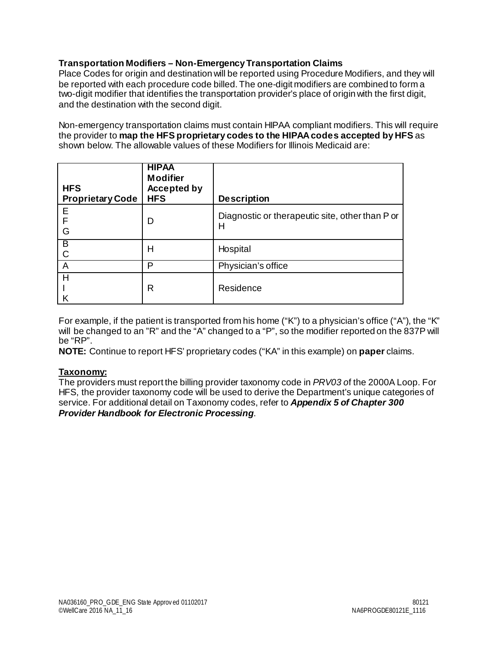#### **Transportation Modifiers – Non-Emergency Transportation Claims**

Place Codes for origin and destination will be reported using Procedure Modifiers, and they will be reported with each procedure code billed. The one-digit modifiers are combined to form a two-digit modifier that identifies the transportation provider's place of origin with the first digit, and the destination with the second digit.

Non-emergency transportation claims must contain HIPAA compliant modifiers. This will require the provider to **map the HFS proprietary codes to the HIPAA codes accepted by HFS** as shown below. The allowable values of these Modifiers for Illinois Medicaid are:

| <b>HFS</b><br><b>Proprietary Code</b> | <b>HIPAA</b><br><b>Modifier</b><br><b>Accepted by</b><br><b>HFS</b> | <b>Description</b>                                   |
|---------------------------------------|---------------------------------------------------------------------|------------------------------------------------------|
| Е<br>F<br>G                           | D                                                                   | Diagnostic or therapeutic site, other than P or<br>н |
| B<br>C                                | Н                                                                   | Hospital                                             |
| A                                     | P                                                                   | Physician's office                                   |
| H                                     | R                                                                   | Residence                                            |

For example, if the patient is transported from his home ("K") to a physician's office ("A"), the "K" will be changed to an "R" and the "A" changed to a "P", so the modifier reported on the 837P will be "RP".

**NOTE:** Continue to report HFS' proprietary codes ("KA" in this example) on **paper** claims.

#### **Taxonomy:**

The providers must report the billing provider taxonomy code in *PRV03 o*f the 2000A Loop. For HFS, the provider taxonomy code will be used to derive the Department's unique categories of service. For additional detail on Taxonomy codes, refer to *Appendix 5 of Chapter 300 Provider Handbook for Electronic Processing*.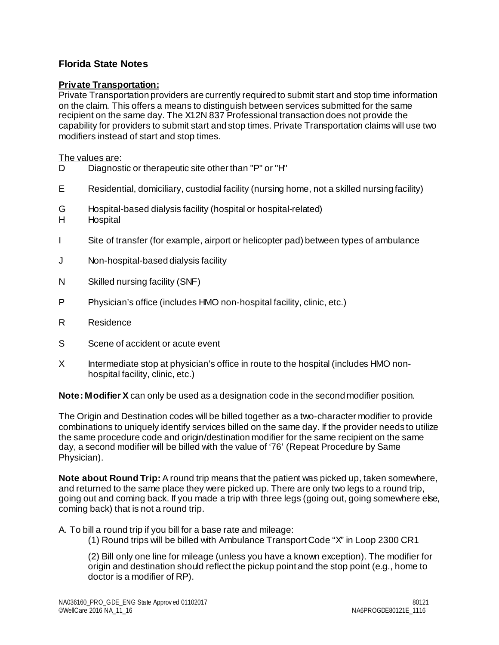#### <span id="page-17-0"></span>**Florida State Notes**

#### **Private Transportation:**

Private Transportation providers are currently required to submit start and stop time information on the claim. This offers a means to distinguish between services submitted for the same recipient on the same day. The X12N 837 Professional transaction does not provide the capability for providers to submit start and stop times. Private Transportation claims will use two modifiers instead of start and stop times.

The values are:

- D Diagnostic or therapeutic site other than "P" or "H"
- E Residential, domiciliary, custodial facility (nursing home, not a skilled nursing facility)
- G Hospital-based dialysis facility (hospital or hospital-related)
- H Hospital
- I Site of transfer (for example, airport or helicopter pad) between types of ambulance
- J Non-hospital-based dialysis facility
- N Skilled nursing facility (SNF)
- P Physician's office (includes HMO non-hospital facility, clinic, etc.)
- R Residence
- S Scene of accident or acute event
- X Intermediate stop at physician's office in route to the hospital (includes HMO nonhospital facility, clinic, etc.)

**Note: Modifier X** can only be used as a designation code in the second modifier position.

The Origin and Destination codes will be billed together as a two-character modifier to provide combinations to uniquely identify services billed on the same day. If the provider needs to utilize the same procedure code and origin/destination modifier for the same recipient on the same day, a second modifier will be billed with the value of '76' (Repeat Procedure by Same Physician).

**Note about Round Trip:** A round trip means that the patient was picked up, taken somewhere, and returned to the same place they were picked up. There are only two legs to a round trip, going out and coming back. If you made a trip with three legs (going out, going somewhere else, coming back) that is not a round trip.

A. To bill a round trip if you bill for a base rate and mileage:

(1) Round trips will be billed with Ambulance Transport Code "X" in Loop 2300 CR1

(2) Bill only one line for mileage (unless you have a known exception). The modifier for origin and destination should reflect the pickup point and the stop point (e.g., home to doctor is a modifier of RP).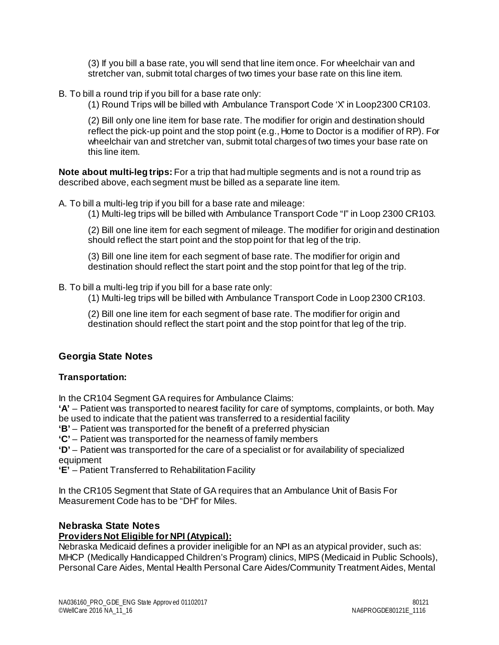(3) If you bill a base rate, you will send that line item once. For wheelchair van and stretcher van, submit total charges of two times your base rate on this line item.

B. To bill a round trip if you bill for a base rate only:

(1) Round Trips will be billed with Ambulance Transport Code 'X' in Loop2300 CR103.

(2) Bill only one line item for base rate. The modifier for origin and destination should reflect the pick-up point and the stop point (e.g., Home to Doctor is a modifier of RP). For wheelchair van and stretcher van, submit total charges of two times your base rate on this line item.

**Note about multi-leg trips:** For a trip that had multiple segments and is not a round trip as described above, each segment must be billed as a separate line item.

A. To bill a multi-leg trip if you bill for a base rate and mileage:

(1) Multi-leg trips will be billed with Ambulance Transport Code "I" in Loop 2300 CR103.

(2) Bill one line item for each segment of mileage. The modifier for origin and destination should reflect the start point and the stop point for that leg of the trip.

(3) Bill one line item for each segment of base rate. The modifier for origin and destination should reflect the start point and the stop point for that leg of the trip.

B. To bill a multi-leg trip if you bill for a base rate only:

(1) Multi-leg trips will be billed with Ambulance Transport Code in Loop 2300 CR103.

(2) Bill one line item for each segment of base rate. The modifier for origin and destination should reflect the start point and the stop point for that leg of the trip.

#### <span id="page-18-0"></span>**Georgia State Notes**

#### **Transportation:**

In the CR104 Segment GA requires for Ambulance Claims:

**'A'** – Patient was transported to nearest facility for care of symptoms, complaints, or both. May be used to indicate that the patient was transferred to a residential facility

**'B'** – Patient was transported for the benefit of a preferred physician

**'C'** – Patient was transported for the nearness of family members

**'D'** – Patient was transported for the care of a specialist or for availability of specialized equipment

**'E'** – Patient Transferred to Rehabilitation Facility

In the CR105 Segment that State of GA requires that an Ambulance Unit of Basis For Measurement Code has to be "DH" for Miles.

#### <span id="page-18-1"></span>**Nebraska State Notes**

#### **Providers Not Eligible for NPI (Atypical):**

Nebraska Medicaid defines a provider ineligible for an NPI as an atypical provider, such as: MHCP (Medically Handicapped Children's Program) clinics, MIPS (Medicaid in Public Schools), Personal Care Aides, Mental Health Personal Care Aides/Community Treatment Aides, Mental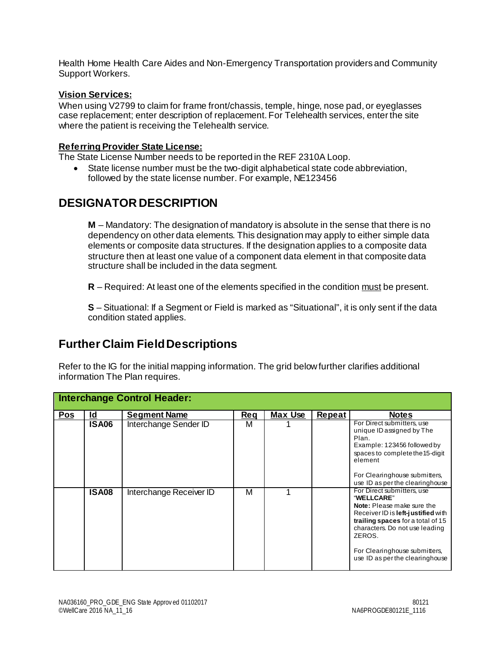Health Home Health Care Aides and Non-Emergency Transportation providers and Community Support Workers.

#### **Vision Services:**

When using V2799 to claim for frame front/chassis, temple, hinge, nose pad, or eyeglasses case replacement; enter description of replacement. For Telehealth services, enter the site where the patient is receiving the Telehealth service.

#### **Referring Provider State License:**

The State License Number needs to be reported in the REF 2310A Loop.

• State license number must be the two-digit alphabetical state code abbreviation, followed by the state license number. For example, NE123456

## **DESIGNATOR DESCRIPTION**

**M** – Mandatory: The designation of mandatory is absolute in the sense that there is no dependency on other data elements. This designation may apply to either simple data elements or composite data structures. If the designation applies to a composite data structure then at least one value of a component data element in that composite data structure shall be included in the data segment.

**R** – Required: At least one of the elements specified in the condition must be present.

**S** – Situational: If a Segment or Field is marked as "Situational", it is only sent if the data condition stated applies.

## <span id="page-19-0"></span>**Further Claim Field Descriptions**

Refer to the IG for the initial mapping information. The grid below further clarifies additional information The Plan requires.

|            |              | <b>Interchange Control Header:</b> |     |         |        |                                                                                                                                                                                                                                                                   |
|------------|--------------|------------------------------------|-----|---------|--------|-------------------------------------------------------------------------------------------------------------------------------------------------------------------------------------------------------------------------------------------------------------------|
| <b>Pos</b> | <u>ld</u>    | <b>Seament Name</b>                | Reg | Max Use | Repeat | <b>Notes</b>                                                                                                                                                                                                                                                      |
|            | <b>ISA06</b> | Interchange Sender ID              | м   |         |        | For Direct submitters, use<br>unique ID assigned by The<br>Plan.<br>Example: 123456 followed by<br>spaces to complete the 15-digit<br>element<br>For Clearinghouse submitters,<br>use ID as per the clearinghouse                                                 |
|            | <b>ISA08</b> | Interchange Receiver ID            | М   |         |        | For Direct submitters, use<br>"WELLCARE"<br>Note: Please make sure the<br>Receiver ID is left-justified with<br>trailing spaces for a total of 15<br>characters. Do not use leading<br>ZEROS.<br>For Clearinghouse submitters,<br>use ID as per the clearinghouse |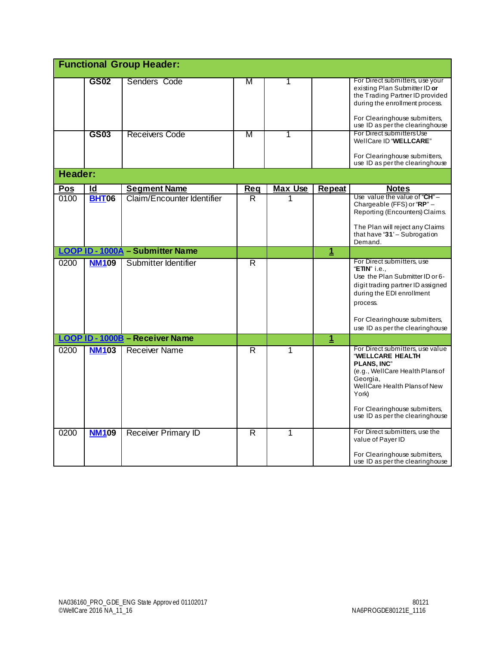|                    |                    | <b>Functional Group Header:</b>                   |                |                |                |                                                                                                                                                                                                                                        |
|--------------------|--------------------|---------------------------------------------------|----------------|----------------|----------------|----------------------------------------------------------------------------------------------------------------------------------------------------------------------------------------------------------------------------------------|
|                    | <b>GS02</b>        | Senders Code                                      | M              | 1              |                | For Direct submitters, use your<br>existing Plan Submitter ID or<br>the Trading Partner ID provided<br>during the enrollment process.<br>For Clearinghouse submitters,<br>use ID as per the clearinghouse                              |
|                    | <b>GS03</b>        | <b>Receivers Code</b>                             | M              | 1              |                | For Direct submitters Use<br>WellCare ID "WELLCARE"<br>For Clearinghouse submitters,<br>use ID as per the clearinghouse                                                                                                                |
| <b>Header:</b>     |                    |                                                   |                |                |                |                                                                                                                                                                                                                                        |
| <b>Pos</b><br>0100 | Id<br><b>BHT06</b> | <b>Segment Name</b><br>Claim/Encounter Identifier | Req<br>R.      | <b>Max Use</b> | <b>Repeat</b>  | <b>Notes</b><br>Use value the value of " $CH$ " -<br>Chargeable (FFS) or "RP" -<br>Reporting (Encounters) Claims.<br>The Plan will reject any Claims<br>that have "31' - Subrogation<br>Demand.                                        |
|                    |                    | <b>LOOP ID - 1000A - Submitter Name</b>           |                |                | $\overline{1}$ |                                                                                                                                                                                                                                        |
| 0200               | <b>NM109</b>       | Submitter Identifier                              | $\overline{R}$ |                |                | For Direct submitters, use<br>"ETIN" i.e.,<br>Use the Plan Submitter ID or 6-<br>digit trading partner ID assigned<br>during the EDI enrollment<br>process.<br>For Clearinghouse submitters,                                           |
|                    |                    |                                                   |                |                |                | use ID as per the clearinghouse                                                                                                                                                                                                        |
|                    |                    | LOOP ID - 1000B - Receiver Name                   |                |                | $\mathbf{1}$   |                                                                                                                                                                                                                                        |
| 0200               | <b>NM103</b>       | <b>Receiver Name</b>                              | R              | 1              |                | For Direct submitters, use value<br>"WELLCARE HEALTH<br><b>PLANS, INC"</b><br>(e.g., WellCare Health Plans of<br>Georgia.<br>WellCare Health Plans of New<br>York)<br>For Clearinghouse submitters,<br>use ID as per the clearinghouse |
| 0200               | <b>NM109</b>       | <b>Receiver Primary ID</b>                        | R              | 1              |                | For Direct submitters, use the<br>value of Payer ID<br>For Clearinghouse submitters,<br>use ID as per the clearinghouse                                                                                                                |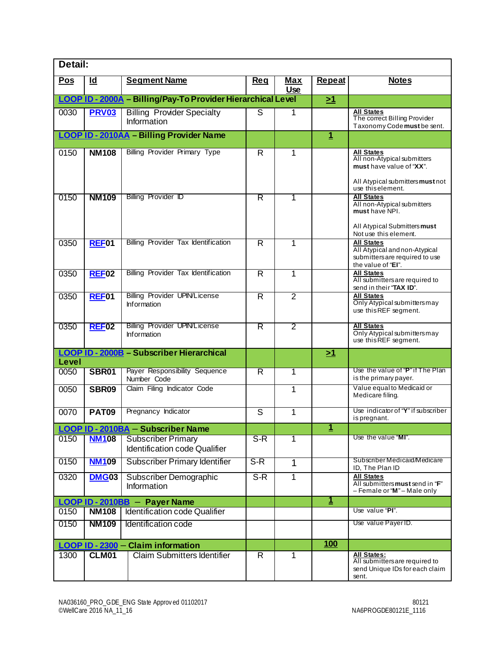| Detail:                                                      |                   |                                                            |                         |                          |               |                                                                                                                                       |
|--------------------------------------------------------------|-------------------|------------------------------------------------------------|-------------------------|--------------------------|---------------|---------------------------------------------------------------------------------------------------------------------------------------|
| <b>Pos</b>                                                   | Id                | <b>Segment Name</b>                                        | Req                     | <b>Max</b><br><b>Use</b> | <b>Repeat</b> | <b>Notes</b>                                                                                                                          |
| LOOP ID - 2000A - Billing/Pay-To Provider Hierarchical Level |                   |                                                            |                         |                          | <u>&gt;1</u>  |                                                                                                                                       |
| 0030                                                         | <b>PRV03</b>      | <b>Billing Provider Specialty</b><br>Information           | S                       | 1                        |               | <b>All States</b><br>The correct Billing Provider<br>Taxonomy Code must be sent.                                                      |
|                                                              |                   | <b>LOOP ID - 2010AA - Billing Provider Name</b>            |                         |                          | $\mathbf{1}$  |                                                                                                                                       |
| 0150                                                         | <b>NM108</b>      | <b>Billing Provider Primary Type</b>                       | $\overline{\mathsf{R}}$ | 1                        |               | <b>All States</b><br>All non-Atypical submitters<br>must have value of "XX".<br>All Atypical submitters must not<br>use this element. |
| 0150                                                         | <b>NM109</b>      | Billing Provider ID                                        | $\overline{\mathsf{R}}$ | 1                        |               | <b>All States</b><br>All non-Atypical submitters<br>must have NPI.<br>All Atypical Submitters must<br>Not use this element.           |
| 0350                                                         | REF01             | Billing Provider Tax Identification                        | $\overline{\mathsf{R}}$ | 1                        |               | <b>All States</b><br>All Atypical and non-Atypical<br>submitters are required to use<br>the value of "EI".                            |
| 0350                                                         | <b>REF02</b>      | Billing Provider Tax Identification                        | $\overline{R}$          | 1                        |               | <b>All States</b><br>All submitters are required to<br>send in their "TAX ID".                                                        |
| 0350                                                         | REF <sub>01</sub> | <b>Billing Provider UPIN/License</b><br><b>Information</b> | $\overline{R}$          | $\overline{2}$           |               | All States<br>Only Atypical submitters may<br>use this REF segment.                                                                   |
| 0350                                                         | REF02             | <b>Billing Provider UPIN/License</b><br><b>Information</b> | R                       | 2                        |               | <b>All States</b><br>Only Atypical submitters may<br>use this REF segment.                                                            |
| Level                                                        |                   | <b>LOOP ID - 2000B - Subscriber Hierarchical</b>           |                         |                          | <u>&gt;1</u>  |                                                                                                                                       |
| 0050                                                         | SBR01             | Payer Responsibility Sequence<br>Number Code               | R                       | 1                        |               | Use the value of "P" if The Plan<br>is the primary payer.                                                                             |
| 0050                                                         | <b>SBR09</b>      | Claim Filing Indicator Code                                |                         | 1                        |               | Value equal to Medicaid or<br>Medicare filing.                                                                                        |
| 0070                                                         | <b>PAT09</b>      | Pregnancy Indicator                                        | S                       | 1                        |               | Use indicator of "Y" if subscriber<br>is pregnant.                                                                                    |
|                                                              |                   | LOOP ID - 2010BA - Subscriber Name                         |                         |                          | 1             |                                                                                                                                       |
| 0150                                                         | <b>NM108</b>      | <b>Subscriber Primary</b><br>Identification code Qualifier | $S-R$                   | 1                        |               | Use the value "MI".                                                                                                                   |
| 0150                                                         | <b>NM109</b>      | <b>Subscriber Primary Identifier</b>                       | $S-R$                   | 1                        |               | Subscriber Medicaid/Medicare<br>ID, The Plan ID                                                                                       |
| 0320                                                         | <b>DMG03</b>      | Subscriber Demographic<br>Information                      | $S-R$                   | 1                        |               | <b>All States</b><br>All submitters must send in "F"<br>- Female or "M" - Male only                                                   |
|                                                              |                   | LOOP ID - 2010BB - Payer Name                              |                         |                          | <u>1</u>      |                                                                                                                                       |
| 0150                                                         | <b>NM108</b>      | Identification code Qualifier                              |                         |                          |               | Use value "PI".                                                                                                                       |
| 0150                                                         | <b>NM109</b>      | Identification code                                        |                         |                          |               | Use value Payer ID.                                                                                                                   |
|                                                              |                   | LOOP ID - 2300 - Claim information                         |                         |                          | 100           |                                                                                                                                       |
| 1300                                                         | <b>CLM01</b>      | <b>Claim Submitters Identifier</b>                         | $\overline{R}$          | 1                        |               | All States:<br>All submitters are required to<br>send Unique IDs for each claim<br>sent.                                              |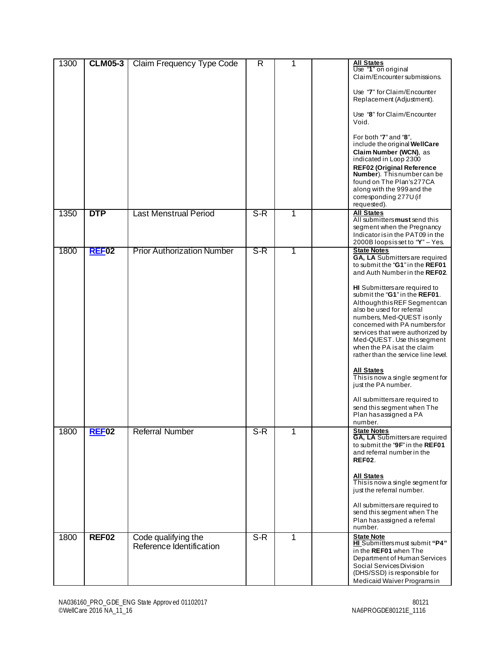| 1300 | <b>CLM05-3</b> | Claim Frequency Type Code                       | R     | 1 | Void. | <b>All States</b><br>Use "1" on original<br>Claim/Encounter submissions.<br>Use "7" for Claim/Encounter<br>Replacement (Adjustment).<br>Use "8" for Claim/Encounter<br>For both "7" and "8".<br>include the original WellCare<br>Claim Number (WCN), as<br>indicated in Loop 2300<br>REF02 (Original Reference<br>Number). Thisnumber can be<br>found on The Plan's 277CA<br>along with the 999 and the<br>corresponding 277U (if<br>requested).                                                                                                                                                                                                  |
|------|----------------|-------------------------------------------------|-------|---|-------|---------------------------------------------------------------------------------------------------------------------------------------------------------------------------------------------------------------------------------------------------------------------------------------------------------------------------------------------------------------------------------------------------------------------------------------------------------------------------------------------------------------------------------------------------------------------------------------------------------------------------------------------------|
| 1350 | <b>DTP</b>     | <b>Last Menstrual Period</b>                    | $S-R$ | 1 |       | <b>All States</b><br>All submitters must send this<br>segment when the Pregnancy<br>Indicator is in the PAT09 in the<br>2000B loopsisset to "Y" - Yes.                                                                                                                                                                                                                                                                                                                                                                                                                                                                                            |
| 1800 | <b>REF02</b>   | <b>Prior Authorization Number</b>               | $S-R$ | 1 |       | <b>State Notes</b><br>GA, LA Submittersare required<br>to submit the "G1" in the REF01<br>and Auth Number in the REF02.<br>HI Submitters are required to<br>submit the "G1" in the REF01.<br>Although this REF Segment can<br>also be used for referral<br>numbers, Med-QUEST isonly<br>concerned with PA numbersfor<br>services that were authorized by<br>Med-QUEST. Use this segment<br>when the PA is at the claim<br>rather than the service line level.<br><b>All States</b><br>Thisis now a single segment for<br>just the PA number.<br>All submitters are required to<br>send this segment when The<br>Plan has assigned a PA<br>number. |
| 1800 | <b>REF02</b>   | <b>Referral Number</b>                          | $S-R$ | 1 |       | <b>State Notes</b><br>GA, LA Submittersare required<br>to submit the "9F" in the REF01<br>and referral number in the<br>REF02.<br><b>All States</b><br>This is now a single segment for<br>just the referral number.<br>All submitters are required to<br>send this segment when The<br>Plan has assigned a referral<br>number.                                                                                                                                                                                                                                                                                                                   |
| 1800 | <b>REF02</b>   | Code qualifying the<br>Reference Identification | $S-R$ | 1 |       | <b>State Note</b><br>HI Submitters must submit "P4"<br>in the REF01 when The<br>Department of Human Services<br>Social Services Division<br>(DHS/SSD) is responsible for<br>Medicaid Waiver Programs in                                                                                                                                                                                                                                                                                                                                                                                                                                           |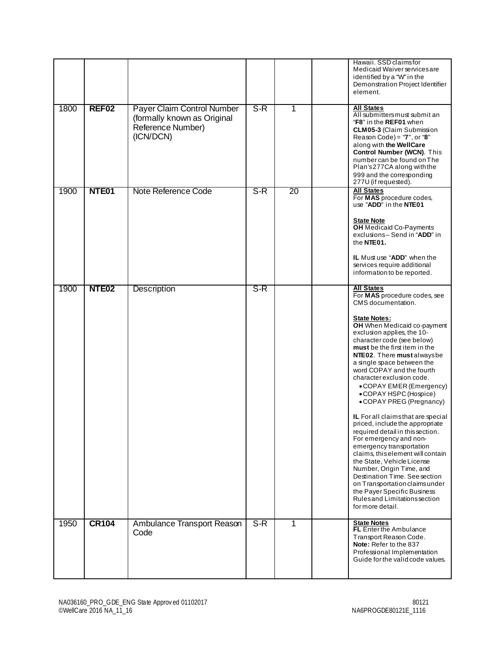|      |                   |                                                                                             |       |    | Hawaii, SSD claims for<br>Medicaid Waiver services are<br>identified by a "W" in the<br>Demonstration Project Identifier<br>element.                                                                                                                                                                                                                                                                                                                                                                                                                                                                                                                                                                                                                                                                                                                         |
|------|-------------------|---------------------------------------------------------------------------------------------|-------|----|--------------------------------------------------------------------------------------------------------------------------------------------------------------------------------------------------------------------------------------------------------------------------------------------------------------------------------------------------------------------------------------------------------------------------------------------------------------------------------------------------------------------------------------------------------------------------------------------------------------------------------------------------------------------------------------------------------------------------------------------------------------------------------------------------------------------------------------------------------------|
| 1800 | REF <sub>02</sub> | Payer Claim Control Number<br>(formally known as Original<br>Reference Number)<br>(ICN/DCN) | $S-R$ | 1  | <b>All States</b><br>All submitters must submit an<br>"F8" in the REF01 when<br><b>CLM05-3 (Claim Submission</b><br>Reason Code) = " $7"$ , or " $8"$<br>along with the WellCare<br>Control Number (WCN). This<br>number can be found on The<br>Plan's 277CA along with the<br>999 and the corresponding<br>277U (if requested).                                                                                                                                                                                                                                                                                                                                                                                                                                                                                                                             |
| 1900 | NTE01             | Note Reference Code                                                                         | $S-R$ | 20 | <b>All States</b><br>For MAS procedure codes,<br>use "ADD" in the NTE01<br><b>State Note</b><br><b>OH</b> Medicaid Co-Payments<br>exclusions-Send in "ADD" in<br>the NTE01.<br>IL Must use "ADD" when the<br>services require additional<br>information to be reported.                                                                                                                                                                                                                                                                                                                                                                                                                                                                                                                                                                                      |
| 1900 | NTE <sub>02</sub> | <b>Description</b>                                                                          | $S-R$ |    | <b>All States</b><br>For MAS procedure codes, see<br>CMS documentation.<br><b>State Notes:</b><br>OH When Medicaid co-payment<br>exclusion applies, the 10-<br>character code (see below)<br>must be the first item in the<br>NTE02. There must always be<br>a single space between the<br>word COPAY and the fourth<br>character exclusion code.<br>• COPAY EMER (Emergency)<br>• COPAY HSPC (Hospice)<br>• COPAY PREG (Pregnancy)<br>IL For all claims that are special<br>priced, include the appropriate<br>required detail in this section.<br>For emergency and non-<br>emergency transportation<br>claims, this element will contain<br>the State, Vehicle License<br>Number, Origin Time, and<br>Destination Time. See section<br>on Transportation claims under<br>the Payer Specific Business<br>Rules and Limitations section<br>for more detail. |
| 1950 | <b>CR104</b>      | Ambulance Transport Reason<br>Code                                                          | $S-R$ | 1  | <b>State Notes</b><br><b>FL</b> Enter the Ambulance<br>Transport Reason Code.<br>Note: Refer to the 837<br>Professional Implementation<br>Guide for the valid code values.                                                                                                                                                                                                                                                                                                                                                                                                                                                                                                                                                                                                                                                                                   |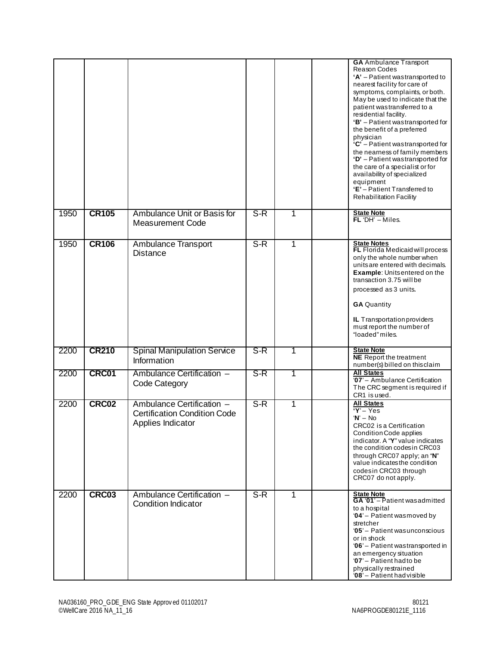|      |              |                                                                                       |       |   | <b>GA</b> Ambulance Transport<br>Reason Codes<br>'A' - Patient wastransported to<br>nearest facility for care of<br>symptoms, complaints, or both.<br>May be used to indicate that the<br>patient wastransferred to a<br>residential facility.<br>'B' - Patient wastransported for<br>the benefit of a preferred<br>physician<br>$C'$ – Patient wastransported for<br>the nearness of family members<br>'D' - Patient wastransported for<br>the care of a specialist or for<br>availability of specialized<br>equipment<br>'E'-Patient Transferred to<br>Rehabilitation Facility |
|------|--------------|---------------------------------------------------------------------------------------|-------|---|----------------------------------------------------------------------------------------------------------------------------------------------------------------------------------------------------------------------------------------------------------------------------------------------------------------------------------------------------------------------------------------------------------------------------------------------------------------------------------------------------------------------------------------------------------------------------------|
| 1950 | <b>CR105</b> | Ambulance Unit or Basis for<br><b>Measurement Code</b>                                | $S-R$ | 1 | <b>State Note</b><br>$FL'DH' - Miles$                                                                                                                                                                                                                                                                                                                                                                                                                                                                                                                                            |
| 1950 | <b>CR106</b> | Ambulance Transport<br><b>Distance</b>                                                | $S-R$ | 1 | <b>State Notes</b><br>FL Florida Medicaid will process<br>only the whole number when<br>units are entered with decimals.<br><b>Example:</b> Unitsentered on the<br>transaction 3.75 will be<br>processed as 3 units.<br><b>GA Quantity</b><br><b>IL</b> Transportation providers<br>must report the number of<br>"loaded" miles.                                                                                                                                                                                                                                                 |
| 2200 | <b>CR210</b> | <b>Spinal Manipulation Service</b><br>Information                                     | $S-R$ | 1 | <b>State Note</b><br><b>NE</b> Report the treatment<br>number(s) billed on this claim                                                                                                                                                                                                                                                                                                                                                                                                                                                                                            |
| 2200 | CRC01        | Ambulance Certification -<br>Code Category                                            | $S-R$ | 1 | <b>All States</b><br>'07' - Ambulance Certification<br>The CRC segment is required if<br>CR1 is used.                                                                                                                                                                                                                                                                                                                                                                                                                                                                            |
| 2200 | CRC02        | Ambulance Certification -<br><b>Certification Condition Code</b><br>Applies Indicator | $S-R$ | 1 | <b>All States</b><br>$Y - Yes$<br>$W - No$<br>CRC02 is a Certification<br><b>Condition Code applies</b><br>indicator. A "Y" value indicates<br>the condition codes in CRC03<br>through CRC07 apply; an "N"<br>value indicates the condition<br>codesin CRC03 through<br>CRC07 do not apply.                                                                                                                                                                                                                                                                                      |
| 2200 | CRC03        | Ambulance Certification -<br><b>Condition Indicator</b>                               | $S-R$ | 1 | <b>State Note</b><br>GA '01' - Patient wasadmitted<br>to a hospital<br>'04' - Patient wasmoved by<br>stretcher<br>'05' - Patient was unconscious<br>or in shock<br>'06' - Patient wastransported in<br>an emergency situation<br>'07' - Patient had to be<br>physically restrained<br>'08' - Patient had visible                                                                                                                                                                                                                                                                 |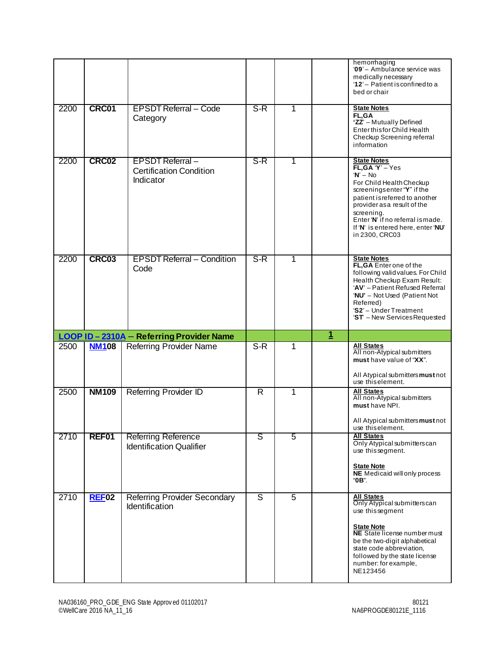|      |              |                                                                                                      |        |                     |                | hemorrhaging<br>'09' - Ambulance service was<br>medically necessary<br>'12' - Patient is confined to a<br>bed or chair                                                                                                                                                                      |
|------|--------------|------------------------------------------------------------------------------------------------------|--------|---------------------|----------------|---------------------------------------------------------------------------------------------------------------------------------------------------------------------------------------------------------------------------------------------------------------------------------------------|
| 2200 | CRC01        | <b>EPSDT Referral - Code</b><br>Category                                                             | S-R    | 1                   |                | <b>State Notes</b><br><b>FL.GA</b><br>'ZZ' - Mutually Defined<br>Enter this for Child Health<br>Checkup Screening referral<br>information                                                                                                                                                   |
| 2200 | CRC02        | <b>EPSDT Referral-</b><br><b>Certification Condition</b><br>Indicator                                | $S-R$  | 1                   |                | <b>State Notes</b><br>$FL, GA'Y' - Yes$<br>$'N' - No$<br>For Child Health Checkup<br>screenings enter "Y" if the<br>patient is referred to another<br>provider as a result of the<br>screening.<br>Enter 'N' if no referral ismade.<br>If 'N' is entered here, enter 'NU'<br>in 2300, CRC03 |
| 2200 | CRC03        | <b>EPSDT Referral - Condition</b><br>Code                                                            | $S-R$  | 1                   |                | <b>State Notes</b><br>FL, GA Enter one of the<br>following valid values. For Child<br>Health Checkup Exam Result:<br>'AV' - Patient Refused Referral<br>'NU' - Not Used (Patient Not<br>Referred)<br>'S2' - Under Treatment<br>'ST - New Services Requested                                 |
|      |              |                                                                                                      |        |                     |                |                                                                                                                                                                                                                                                                                             |
|      |              | LOOP ID-2310A - Referring Provider Name                                                              |        |                     | $\overline{1}$ |                                                                                                                                                                                                                                                                                             |
| 2500 | <b>NM108</b> | <b>Referring Provider Name</b>                                                                       | $S-R$  | 1                   |                | <b>All States</b><br>All non-Atypical submitters<br>must have value of "XX".<br>All Atypical submitters must not<br>use this element.                                                                                                                                                       |
| 2500 | <b>NM109</b> | <b>Referring Provider ID</b>                                                                         | R      | 1                   |                | All States<br>All non-Atypical submitters<br>must have NPI.<br>All Atypical submitters must not<br>use this element.                                                                                                                                                                        |
| 2710 | REF01        | <b>Referring Reference</b><br><b>Identification Qualifier</b><br><b>Referring Provider Secondary</b> | ड<br>ड | 5<br>$\overline{5}$ |                | <b>All States</b><br>Only Atypical submitters can<br>use thissegment.<br><b>State Note</b><br><b>NE</b> Medicaid will only process<br>"0B".<br><b>All States</b>                                                                                                                            |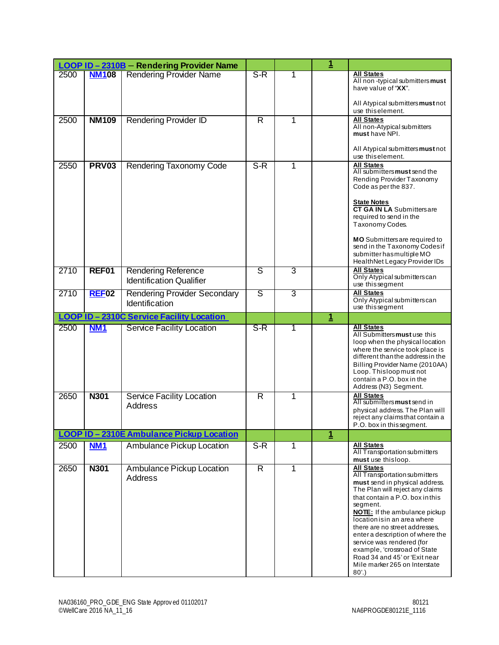|      |              | LOOP ID - 2310B - Rendering Provider Name                     |                         |              | $\overline{\mathbf{1}}$ |                                                                                                                                                                                                                                                                                                                                                                                                                                                                 |
|------|--------------|---------------------------------------------------------------|-------------------------|--------------|-------------------------|-----------------------------------------------------------------------------------------------------------------------------------------------------------------------------------------------------------------------------------------------------------------------------------------------------------------------------------------------------------------------------------------------------------------------------------------------------------------|
| 2500 | <b>NM108</b> | <b>Rendering Provider Name</b>                                | $S-R$                   | 1            |                         | <b>All States</b><br>All non-typical submitters must<br>have value of "XX".<br>All Atypical submitters must not                                                                                                                                                                                                                                                                                                                                                 |
| 2500 | <b>NM109</b> | <b>Rendering Provider ID</b>                                  | $\overline{\mathsf{R}}$ | 1            |                         | use this element.<br><b>All States</b>                                                                                                                                                                                                                                                                                                                                                                                                                          |
|      |              |                                                               |                         |              |                         | All non-Atypical submitters<br>must have NPI.                                                                                                                                                                                                                                                                                                                                                                                                                   |
|      |              |                                                               |                         |              |                         | All Atypical submitters must not<br>use this element.                                                                                                                                                                                                                                                                                                                                                                                                           |
| 2550 | <b>PRV03</b> | Rendering Taxonomy Code                                       | $S-R$                   | 1            |                         | <b>All States</b><br>All submitters must send the<br>Rending Provider Taxonomy<br>Code as per the 837.                                                                                                                                                                                                                                                                                                                                                          |
|      |              |                                                               |                         |              |                         | <b>State Notes</b><br><b>CT GA IN LA</b> Submitters are<br>required to send in the<br>Taxonomy Codes.                                                                                                                                                                                                                                                                                                                                                           |
|      |              |                                                               |                         |              |                         | <b>MO</b> Submitters are required to<br>send in the Taxonomy Codes if<br>submitter has multiple MO<br>HealthNet Legacy Provider IDs                                                                                                                                                                                                                                                                                                                             |
| 2710 | REF01        | <b>Rendering Reference</b><br><b>Identification Qualifier</b> | ड                       | 3            |                         | <b>All States</b><br>Only Atypical submitters can<br>use this segment                                                                                                                                                                                                                                                                                                                                                                                           |
| 2710 | <b>REF02</b> | <b>Rendering Provider Secondary</b><br>Identification         | ड                       | 3            |                         | <b>All States</b><br>Only Atypical submitters can<br>use thissegment                                                                                                                                                                                                                                                                                                                                                                                            |
|      |              | <b>LOOP ID-2310C Service Facility Location</b>                |                         |              | 1                       |                                                                                                                                                                                                                                                                                                                                                                                                                                                                 |
| 2500 | <b>NM1</b>   | <b>Service Facility Location</b>                              | S-R                     | 1            |                         | <b>All States</b><br>All Submitters must use this<br>loop when the physical location<br>where the service took place is<br>different than the address in the<br>Billing Provider Name (2010AA)<br>Loop. Thisloop must not<br>contain a P.O. box in the<br>Address (N3) Segment.                                                                                                                                                                                 |
| 2650 | <b>N301</b>  | Service Facility Location<br>Address                          | $\overline{R}$          | 1            |                         | <b>All States</b><br>All submitters must send in<br>physical address. The Plan will<br>reject any claims that contain a<br>P.O. box in this segment.                                                                                                                                                                                                                                                                                                            |
|      |              | LOOP ID - 2310E Ambulance Pickup Location                     |                         |              | $\overline{\mathbf{1}}$ |                                                                                                                                                                                                                                                                                                                                                                                                                                                                 |
| 2500 | <b>NM1</b>   | <b>Ambulance Pickup Location</b>                              | S-R                     | 1            |                         | <b>All States</b><br>All Transportation submitters<br>must use thisloop.                                                                                                                                                                                                                                                                                                                                                                                        |
| 2650 | N301         | Ambulance Pickup Location<br>Address                          | $\mathsf{R}$            | $\mathbf{1}$ |                         | <b>All States</b><br>All Transportation submitters<br>must send in physical address.<br>The Plan will reject any claims<br>that contain a P.O. box in this<br>segment.<br><b>NOTE:</b> If the ambulance pickup<br>location is in an area where<br>there are no street addresses.<br>enter a description of where the<br>service was rendered (for<br>example, 'crossroad of State<br>Road 34 and 45' or 'Exit near<br>Mile marker 265 on Interstate<br>$80'.$ ) |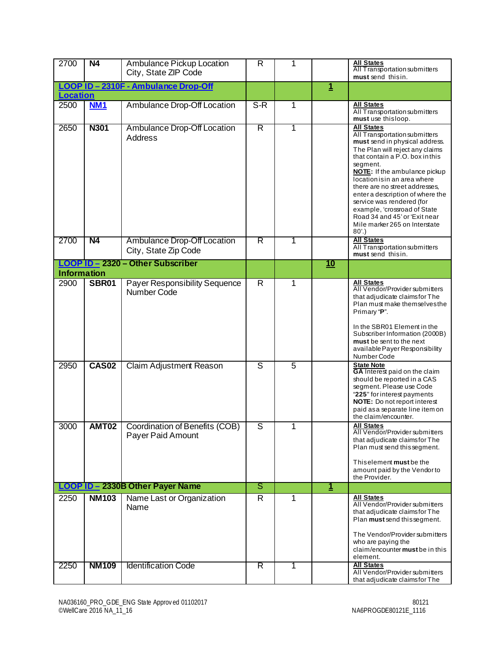| 2700                                                  | <b>N4</b>                    | Ambulance Pickup Location<br>City, State ZIP Code                                     | R                            | 1                   |             | <b>All States</b><br>All Transportation submitters<br>must send thisin.                                                                                                                                                                                                                                                                                                                                                                                     |
|-------------------------------------------------------|------------------------------|---------------------------------------------------------------------------------------|------------------------------|---------------------|-------------|-------------------------------------------------------------------------------------------------------------------------------------------------------------------------------------------------------------------------------------------------------------------------------------------------------------------------------------------------------------------------------------------------------------------------------------------------------------|
| LOOP ID-2310F - Ambulance Drop-Off<br><b>Location</b> |                              |                                                                                       |                              | $\overline{1}$      |             |                                                                                                                                                                                                                                                                                                                                                                                                                                                             |
| 2500                                                  | <b>NM1</b>                   | Ambulance Drop-Off Location                                                           | $S-R$                        | 1                   |             | <b>All States</b><br>All Transportation submitters<br>must use thisloop.                                                                                                                                                                                                                                                                                                                                                                                    |
| 2650                                                  | <b>N301</b>                  | Ambulance Drop-Off Location<br>Address                                                | $\overline{\mathsf{R}}$      | 1                   |             | <b>All States</b><br>All Transportation submitters<br>must send in physical address.<br>The Plan will reject any claims<br>that contain a P.O. box in this<br>segment.<br><b>NOTE:</b> If the ambulance pickup<br>location is in an area where<br>there are no street addresses,<br>enter a description of where the<br>service was rendered (for<br>example, 'crossroad of State<br>Road 34 and 45' or 'Exit near<br>Mile marker 265 on Interstate<br>80'. |
| 2700                                                  | <b>N4</b>                    | <b>Ambulance Drop-Off Location</b><br>City, State Zip Code                            | $\overline{\mathsf{R}}$      | 1                   |             | <b>All States</b><br>All Transportation submitters<br>must send this in.                                                                                                                                                                                                                                                                                                                                                                                    |
| <b>Information</b>                                    |                              | LOOP ID - 2320 - Other Subscriber                                                     |                              |                     | <u>10</u>   |                                                                                                                                                                                                                                                                                                                                                                                                                                                             |
| 2900<br>2950                                          | <b>SBR01</b><br><b>CAS02</b> | <b>Payer Responsibility Sequence</b><br>Number Code<br><b>Claim Adjustment Reason</b> | $\overline{\mathsf{R}}$<br>ड | 1<br>$\overline{5}$ |             | <b>All States</b><br>All Vendor/Provider submitters<br>that adjudicate claims for The<br>Plan must make themselves the<br>Primary "P".<br>In the SBR01 Element in the<br>Subscriber Information (2000B)<br>must be sent to the next<br>available Payer Responsibility<br>Number Code<br><b>State Note</b>                                                                                                                                                   |
|                                                       |                              |                                                                                       |                              |                     |             | GA Interest paid on the claim<br>should be reported in a CAS<br>segment. Please use Code<br>"225" for interest payments<br>NOTE: Do not report interest<br>paid as a separate line item on<br>the claim/encounter.                                                                                                                                                                                                                                          |
| 3000                                                  | <b>AMT02</b>                 | Coordination of Benefits (COB)<br>Payer Paid Amount                                   | S                            | 1                   |             | <b>All States</b><br>All Vendor/Provider submitters<br>that adjudicate claims for The<br>Plan must send this segment.<br>Thiselement must be the<br>amount paid by the Vendor to<br>the Provider.                                                                                                                                                                                                                                                           |
|                                                       |                              | LOOP ID - 2330B Other Payer Name                                                      | ड                            |                     | $\mathbf 1$ | <b>All States</b>                                                                                                                                                                                                                                                                                                                                                                                                                                           |
| 2250                                                  | <b>NM103</b>                 | Name Last or Organization<br>Name                                                     | R                            | 1                   |             | All Vendor/Provider submitters<br>that adjudicate claims for The<br>Plan must send this segment.<br>The Vendor/Provider submitters<br>who are paying the<br>claim/encounter must be in this<br>element.                                                                                                                                                                                                                                                     |
| 2250                                                  | <b>NM109</b>                 | <b>Identification Code</b>                                                            | $\overline{\mathsf{R}}$      | 1                   |             | <b>All States</b><br>All Vendor/Provider submitters<br>that adjudicate claims for The                                                                                                                                                                                                                                                                                                                                                                       |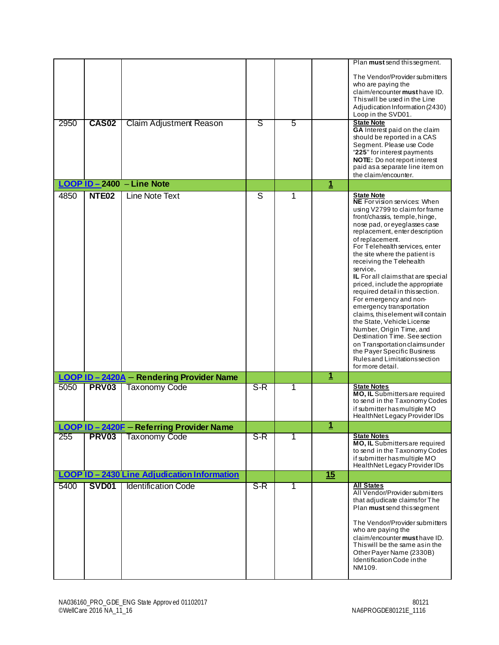|      |              |                                            |       |   |              | Plan must send this segment.                                                                                                                                                                                                                                                                                                                                                                                                                                                                                                                                                                                                                                                                                                                         |
|------|--------------|--------------------------------------------|-------|---|--------------|------------------------------------------------------------------------------------------------------------------------------------------------------------------------------------------------------------------------------------------------------------------------------------------------------------------------------------------------------------------------------------------------------------------------------------------------------------------------------------------------------------------------------------------------------------------------------------------------------------------------------------------------------------------------------------------------------------------------------------------------------|
|      |              |                                            |       |   |              | The Vendor/Provider submitters<br>who are paying the                                                                                                                                                                                                                                                                                                                                                                                                                                                                                                                                                                                                                                                                                                 |
|      |              |                                            |       |   |              | claim/encounter must have ID.                                                                                                                                                                                                                                                                                                                                                                                                                                                                                                                                                                                                                                                                                                                        |
|      |              |                                            |       |   |              | This will be used in the Line<br>Adjudication Information (2430)                                                                                                                                                                                                                                                                                                                                                                                                                                                                                                                                                                                                                                                                                     |
|      |              |                                            |       |   |              | Loop in the SVD01.                                                                                                                                                                                                                                                                                                                                                                                                                                                                                                                                                                                                                                                                                                                                   |
| 2950 | <b>CAS02</b> | Claim Adjustment Reason                    | s     | 5 |              | <b>State Note</b><br>GA Interest paid on the claim                                                                                                                                                                                                                                                                                                                                                                                                                                                                                                                                                                                                                                                                                                   |
|      |              |                                            |       |   |              | should be reported in a CAS<br>Segment. Please use Code                                                                                                                                                                                                                                                                                                                                                                                                                                                                                                                                                                                                                                                                                              |
|      |              |                                            |       |   |              | "225" for interest payments                                                                                                                                                                                                                                                                                                                                                                                                                                                                                                                                                                                                                                                                                                                          |
|      |              |                                            |       |   |              | NOTE: Do not report interest<br>paid as a separate line item on                                                                                                                                                                                                                                                                                                                                                                                                                                                                                                                                                                                                                                                                                      |
|      |              |                                            |       |   |              | the claim/encounter.                                                                                                                                                                                                                                                                                                                                                                                                                                                                                                                                                                                                                                                                                                                                 |
|      |              | LOOP ID-2400 - Line Note                   |       |   | $\mathbf{1}$ |                                                                                                                                                                                                                                                                                                                                                                                                                                                                                                                                                                                                                                                                                                                                                      |
| 4850 | <b>NTE02</b> | Line Note Text                             | S     | 1 |              | <b>State Note</b><br><b>NE</b> For vision services: When<br>using V2799 to claim for frame<br>front/chassis, temple, hinge,<br>nose pad, or eyeglasses case<br>replacement, enter description<br>of replacement.<br>For Telehealth services, enter<br>the site where the patient is<br>receiving the Telehealth<br>service.<br>IL For all claims that are special<br>priced, include the appropriate<br>required detail in this section.<br>For emergency and non-<br>emergency transportation<br>claims, this element will contain<br>the State, Vehicle License<br>Number, Origin Time, and<br>Destination Time. See section<br>on Transportation claims under<br>the Payer Specific Business<br>Rules and Limitations section<br>for more detail. |
|      |              | LOOP ID - 2420A - Rendering Provider Name  |       |   | $\mathbf 1$  |                                                                                                                                                                                                                                                                                                                                                                                                                                                                                                                                                                                                                                                                                                                                                      |
| 5050 | <b>PRV03</b> | <b>Taxonomy Code</b>                       | $S-R$ | 1 |              | <b>State Notes</b><br>MO, IL Submittersare required                                                                                                                                                                                                                                                                                                                                                                                                                                                                                                                                                                                                                                                                                                  |
|      |              |                                            |       |   |              | to send in the Taxonomy Codes                                                                                                                                                                                                                                                                                                                                                                                                                                                                                                                                                                                                                                                                                                                        |
|      |              |                                            |       |   |              | if submitter has multiple MO<br>Health Net Legacy Provider IDs                                                                                                                                                                                                                                                                                                                                                                                                                                                                                                                                                                                                                                                                                       |
|      |              | LOOP ID-2420F - Referring Provider Name    |       |   | <u>1</u>     |                                                                                                                                                                                                                                                                                                                                                                                                                                                                                                                                                                                                                                                                                                                                                      |
| 255  | <b>PRV03</b> | <b>Taxonomy Code</b>                       | $S-R$ | 1 |              | <b>State Notes</b>                                                                                                                                                                                                                                                                                                                                                                                                                                                                                                                                                                                                                                                                                                                                   |
|      |              |                                            |       |   |              | MO, IL Submittersare required<br>to send in the Taxonomy Codes<br>if submitter has multiple MO<br>Health Net Legacy Provider IDs                                                                                                                                                                                                                                                                                                                                                                                                                                                                                                                                                                                                                     |
|      |              | LOOP ID-2430 Line Adjudication Information |       |   | 15           |                                                                                                                                                                                                                                                                                                                                                                                                                                                                                                                                                                                                                                                                                                                                                      |
| 5400 | <b>SVD01</b> | <b>Identification Code</b>                 | $S-R$ | 1 |              | <b>All States</b>                                                                                                                                                                                                                                                                                                                                                                                                                                                                                                                                                                                                                                                                                                                                    |
|      |              |                                            |       |   |              | All Vendor/Provider submitters<br>that adjudicate claims for The<br>Plan must send this segment                                                                                                                                                                                                                                                                                                                                                                                                                                                                                                                                                                                                                                                      |
|      |              |                                            |       |   |              | The Vendor/Provider submitters<br>who are paying the<br>claim/encounter must have ID.<br>This will be the same as in the<br>Other Payer Name (2330B)<br>Identification Code in the                                                                                                                                                                                                                                                                                                                                                                                                                                                                                                                                                                   |
|      |              |                                            |       |   |              | NM109.                                                                                                                                                                                                                                                                                                                                                                                                                                                                                                                                                                                                                                                                                                                                               |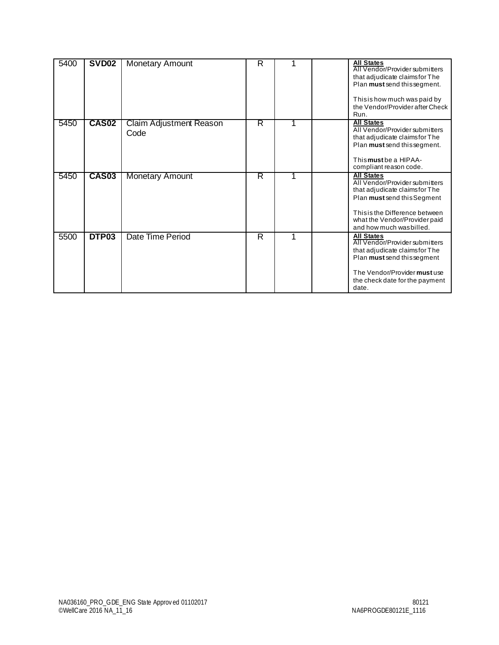| 5400 | <b>SVD02</b>      | <b>Monetary Amount</b>          | R                       |   | <b>All States</b><br>All Vendor/Provider submitters<br>that adjudicate claims for The<br>Plan must send this segment.<br>This is how much was paid by<br>the Vendor/Provider after Check<br>Run.                    |  |
|------|-------------------|---------------------------------|-------------------------|---|---------------------------------------------------------------------------------------------------------------------------------------------------------------------------------------------------------------------|--|
| 5450 | CAS <sub>02</sub> | Claim Adjustment Reason<br>Code | R                       | 1 | <b>All States</b><br>All Vendor/Provider submitters<br>that adjudicate claims for The<br>Plan must send this segment.<br>Thismusthe a HIPAA-<br>compliant reason code.                                              |  |
| 5450 | <b>CAS03</b>      | <b>Monetary Amount</b>          | R                       | 1 | <b>All States</b><br>All Vendor/Provider submitters<br>that adjudicate claims for The<br>Plan must send this Segment<br>This is the Difference between<br>what the Vendor/Provider paid<br>and how much was billed. |  |
| 5500 | DTP03             | Date Time Period                | $\overline{\mathsf{R}}$ | 1 | <b>All States</b><br>All Vendor/Provider submitters<br>that adjudicate claims for The<br>Plan must send this segment<br>The Vendor/Provider must use<br>the check date for the payment<br>date.                     |  |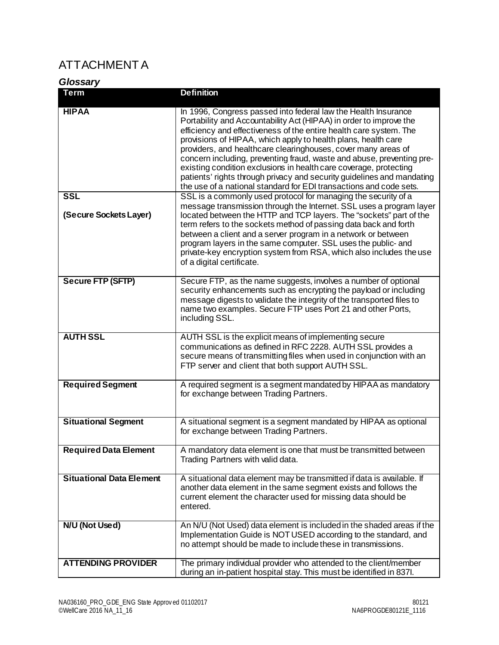## <span id="page-30-0"></span>ATTACHMENT A

<span id="page-30-1"></span>*Glossary*

| <b>Term</b>                          | <b>Definition</b>                                                                                                                                                                                                                                                                                                                                                                                                                                                                                                                                                                                                                          |
|--------------------------------------|--------------------------------------------------------------------------------------------------------------------------------------------------------------------------------------------------------------------------------------------------------------------------------------------------------------------------------------------------------------------------------------------------------------------------------------------------------------------------------------------------------------------------------------------------------------------------------------------------------------------------------------------|
| <b>HIPAA</b>                         | In 1996, Congress passed into federal law the Health Insurance<br>Portability and Accountability Act (HIPAA) in order to improve the<br>efficiency and effectiveness of the entire health care system. The<br>provisions of HIPAA, which apply to health plans, health care<br>providers, and healthcare clearinghouses, cover many areas of<br>concern including, preventing fraud, waste and abuse, preventing pre-<br>existing condition exclusions in health care coverage, protecting<br>patients' rights through privacy and security guidelines and mandating<br>the use of a national standard for EDI transactions and code sets. |
| <b>SSL</b><br>(Secure Sockets Layer) | SSL is a commonly used protocol for managing the security of a<br>message transmission through the Internet. SSL uses a program layer<br>located between the HTTP and TCP layers. The "sockets" part of the<br>term refers to the sockets method of passing data back and forth<br>between a client and a server program in a network or between<br>program layers in the same computer. SSL uses the public- and<br>private-key encryption system from RSA, which also includes the use<br>of a digital certificate.                                                                                                                      |
| Secure FTP (SFTP)                    | Secure FTP, as the name suggests, involves a number of optional<br>security enhancements such as encrypting the payload or including<br>message digests to validate the integrity of the transported files to<br>name two examples. Secure FTP uses Port 21 and other Ports,<br>including SSL.                                                                                                                                                                                                                                                                                                                                             |
| <b>AUTH SSL</b>                      | AUTH SSL is the explicit means of implementing secure<br>communications as defined in RFC 2228. AUTH SSL provides a<br>secure means of transmitting files when used in conjunction with an<br>FTP server and client that both support AUTH SSL.                                                                                                                                                                                                                                                                                                                                                                                            |
| <b>Required Segment</b>              | A required segment is a segment mandated by HIPAA as mandatory<br>for exchange between Trading Partners.                                                                                                                                                                                                                                                                                                                                                                                                                                                                                                                                   |
| <b>Situational Segment</b>           | A situational segment is a segment mandated by HIPAA as optional<br>for exchange between Trading Partners.                                                                                                                                                                                                                                                                                                                                                                                                                                                                                                                                 |
| <b>Required Data Element</b>         | A mandatory data element is one that must be transmitted between<br>Trading Partners with valid data.                                                                                                                                                                                                                                                                                                                                                                                                                                                                                                                                      |
| <b>Situational Data Element</b>      | A situational data element may be transmitted if data is available. If<br>another data element in the same segment exists and follows the<br>current element the character used for missing data should be<br>entered.                                                                                                                                                                                                                                                                                                                                                                                                                     |
| <b>N/U (Not Used)</b>                | An N/U (Not Used) data element is included in the shaded areas if the<br>Implementation Guide is NOT USED according to the standard, and<br>no attempt should be made to include these in transmissions.                                                                                                                                                                                                                                                                                                                                                                                                                                   |
| <b>ATTENDING PROVIDER</b>            | The primary individual provider who attended to the client/member<br>during an in-patient hospital stay. This must be identified in 837I.                                                                                                                                                                                                                                                                                                                                                                                                                                                                                                  |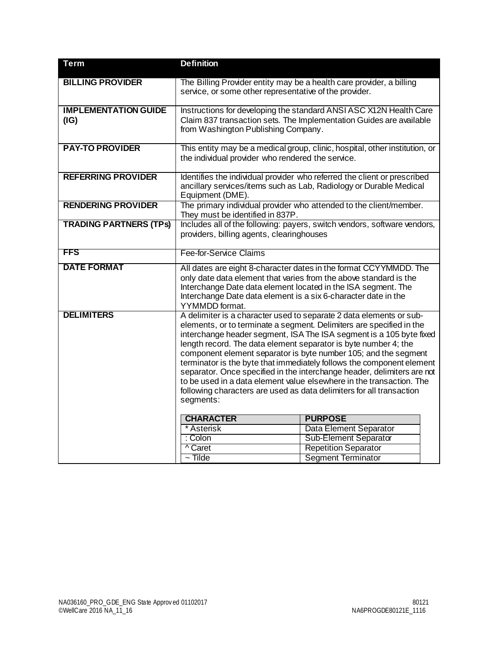| <b>Term</b>                         | <b>Definition</b>                                                                                                                                                                                                      |                                                                                                                                                                                                                                                                                                                                                                                                                                                                                                                                                                                                                                                                                                                            |  |
|-------------------------------------|------------------------------------------------------------------------------------------------------------------------------------------------------------------------------------------------------------------------|----------------------------------------------------------------------------------------------------------------------------------------------------------------------------------------------------------------------------------------------------------------------------------------------------------------------------------------------------------------------------------------------------------------------------------------------------------------------------------------------------------------------------------------------------------------------------------------------------------------------------------------------------------------------------------------------------------------------------|--|
| <b>BILLING PROVIDER</b>             | The Billing Provider entity may be a health care provider, a billing<br>service, or some other representative of the provider.                                                                                         |                                                                                                                                                                                                                                                                                                                                                                                                                                                                                                                                                                                                                                                                                                                            |  |
| <b>IMPLEMENTATION GUIDE</b><br>(IG) | Instructions for developing the standard ANSI ASC X12N Health Care<br>Claim 837 transaction sets. The Implementation Guides are available<br>from Washington Publishing Company.                                       |                                                                                                                                                                                                                                                                                                                                                                                                                                                                                                                                                                                                                                                                                                                            |  |
| <b>PAY-TO PROVIDER</b>              | the individual provider who rendered the service.                                                                                                                                                                      | This entity may be a medical group, clinic, hospital, other institution, or                                                                                                                                                                                                                                                                                                                                                                                                                                                                                                                                                                                                                                                |  |
| <b>REFERRING PROVIDER</b>           | Equipment (DME).                                                                                                                                                                                                       | Identifies the individual provider who referred the client or prescribed<br>ancillary services/items such as Lab, Radiology or Durable Medical                                                                                                                                                                                                                                                                                                                                                                                                                                                                                                                                                                             |  |
| <b>RENDERING PROVIDER</b>           | They must be identified in 837P.                                                                                                                                                                                       | The primary individual provider who attended to the client/member.                                                                                                                                                                                                                                                                                                                                                                                                                                                                                                                                                                                                                                                         |  |
| <b>TRADING PARTNERS (TPS)</b>       | Includes all of the following: payers, switch vendors, software vendors,<br>providers, billing agents, clearinghouses                                                                                                  |                                                                                                                                                                                                                                                                                                                                                                                                                                                                                                                                                                                                                                                                                                                            |  |
| FFS                                 | Fee-for-Service Claims                                                                                                                                                                                                 |                                                                                                                                                                                                                                                                                                                                                                                                                                                                                                                                                                                                                                                                                                                            |  |
| <b>DATE FORMAT</b>                  | only date data element that varies from the above standard is the<br>Interchange Date data element located in the ISA segment. The<br>Interchange Date data element is a six 6-character date in the<br>YYMMDD format. | All dates are eight 8-character dates in the format CCYYMMDD. The                                                                                                                                                                                                                                                                                                                                                                                                                                                                                                                                                                                                                                                          |  |
| <b>DELIMITERS</b>                   | length record. The data element separator is byte number 4; the<br>segments:<br><b>CHARACTER</b><br>* Asterisk<br>: Colon<br>^ Caret<br>$\sim$ Tilde                                                                   | A delimiter is a character used to separate 2 data elements or sub-<br>elements, or to terminate a segment. Delimiters are specified in the<br>interchange header segment, ISA The ISA segment is a 105 byte fixed<br>component element separator is byte number 105; and the segment<br>terminator is the byte that immediately follows the component element<br>separator. Once specified in the interchange header, delimiters are not<br>to be used in a data element value elsewhere in the transaction. The<br>following characters are used as data delimiters for all transaction<br><b>PURPOSE</b><br>Data Element Separator<br>Sub-Element Separator<br><b>Repetition Separator</b><br><b>Segment Terminator</b> |  |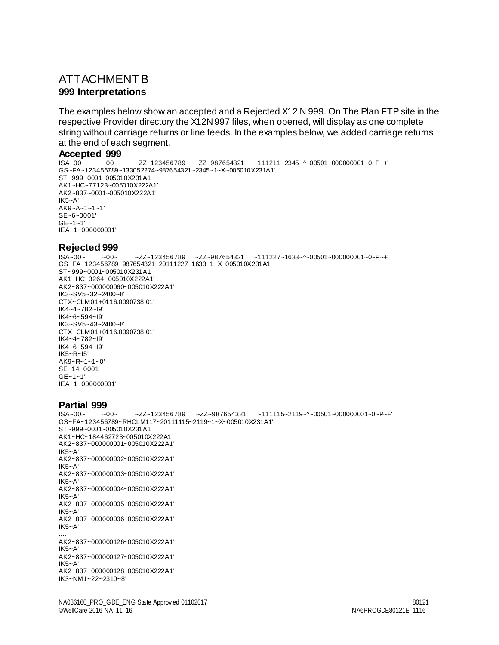### <span id="page-32-1"></span><span id="page-32-0"></span>ATTACHMENT B **999 Interpretations**

The examples below show an accepted and a Rejected X12 N 999. On The Plan FTP site in the respective Provider directory the X12N 997 files, when opened, will display as one complete string without carriage returns or line feeds. In the examples below, we added carriage returns at the end of each segment.

## <span id="page-32-2"></span>**Accepted 999**<br> **ISA-00-** -00-

 $-ZZ~123456789$   $-ZZ~987654321$   $~11211~2345~\sim~00501~00000001~\sim~0~\sim~P~\sim~+1$ GS~FA~123456789~133052274~987654321~2345~1~X~005010X231A1' ST~999~0001~005010X231A1' AK1~HC~77123~005010X222A1' AK2~837~0001~005010X222A1' IK5~A' AK9~A~1~1~1' SE~6~0001' GE~1~1' IEA~1~000000001'

#### <span id="page-32-3"></span>**Rejected 999**

ISA~00~ ~00~ ~ZZ~123456789 ~ZZ~987654321 ~111227~1633~^~00501~000000001~0~P~+' GS~FA~123456789~987654321~20111227~1633~1~X~005010X231A1' ST~999~0001~005010X231A1' AK1~HC~3264~005010X222A1' AK2~837~000000060~005010X222A1' IK3~SV5~32~2400~8' CTX~CLM01+0116.0090738.01' IK4~4~782~I9' IK4~6~594~I9' IK3~SV5~43~2400~8' CTX~CLM01+0116.0090738.01' IK4~4~782~I9' IK4~6~594~I9' IK5~R~I5' AK9~R~1~1~0' SE~14~0001' GE~1~1' IEA~1~000000001'

## <span id="page-32-4"></span>**Partial 999**<br>**ISA~00~** ~00~

 $ZZ$ ~123456789 ~ZZ~987654321 ~111115~2119~^~00501~000000001~0~P~+ GS~FA~123456789~RHCLM117~20111115~2119~1~X~005010X231A1' ST~999~0001~005010X231A1' AK1~HC~184462723~005010X222A1' AK2~837~000000001~005010X222A1' IK5~A' AK2~837~000000002~005010X222A1' IK5~A' AK2~837~000000003~005010X222A1' IK5~A' AK2~837~000000004~005010X222A1' IK5~A' AK2~837~000000005~005010X222A1' IK5~A' AK2~837~000000006~005010X222A1' IK5~A' .... AK2~837~000000126~005010X222A1' IK5~A' AK2~837~000000127~005010X222A1' IK5~A' AK2~837~000000128~005010X222A1' IK3~NM1~22~2310~8'